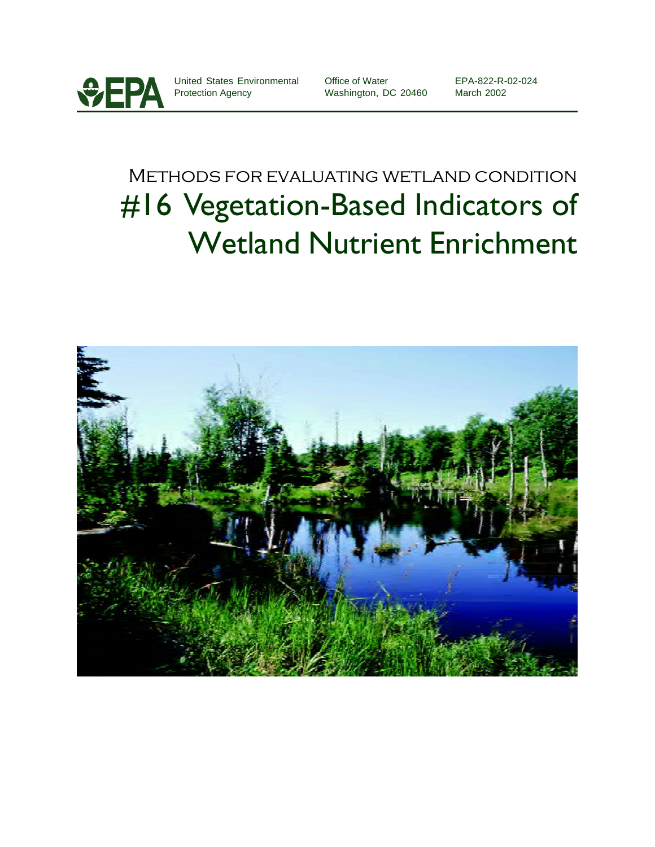

United States Environmental Protection Agency

Office of Water Washington, DC 20460 EPA-822-R-02-024 March 2002

# Methods for evaluating wetland condition #16 Vegetation-Based Indicators of Wetland Nutrient Enrichment

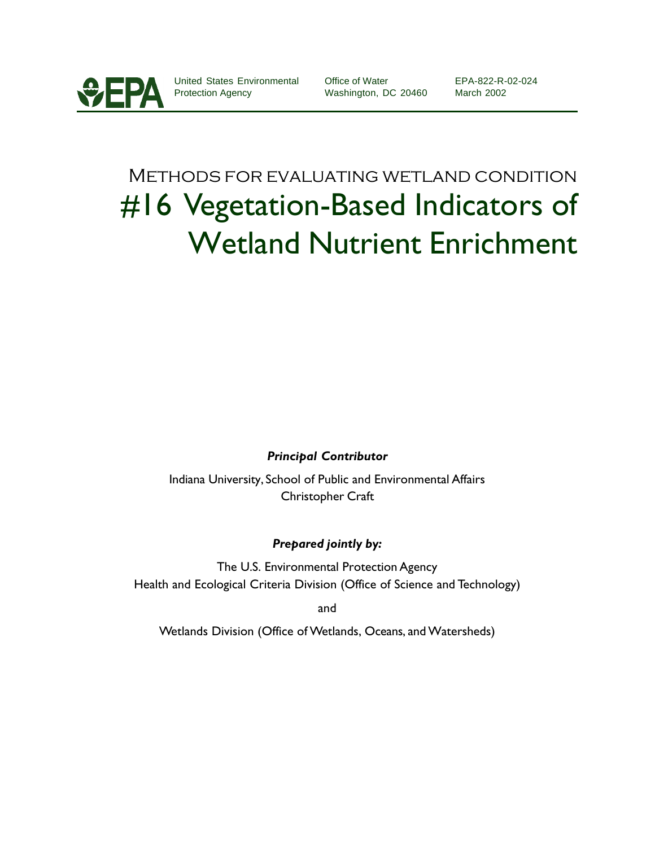

United States Environmental Protection Agency

Office of Water Washington, DC 20460 EPA-822-R-02-024 March 2002

# Methods for evaluating wetland condition #16 Vegetation-Based Indicators of Wetland Nutrient Enrichment

### *Principal Contributor*

Indiana University, School of Public and Environmental Affairs Christopher Craft

### *Prepared jointly by:*

The U.S. Environmental Protection Agency Health and Ecological Criteria Division (Office of Science and Technology)

and

Wetlands Division (Office of Wetlands, Oceans, and Watersheds)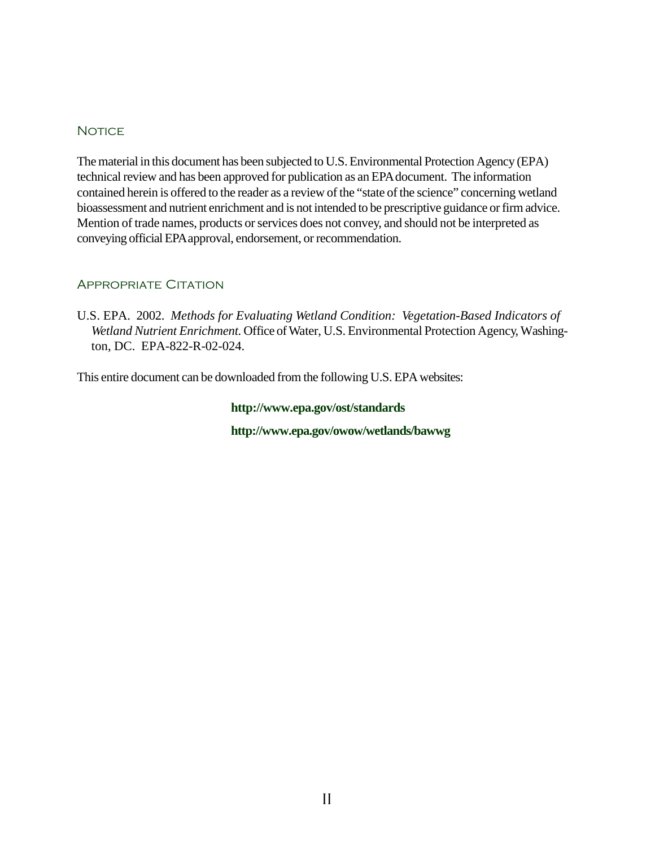### **NOTICE**

The material in this document has been subjected to U.S. Environmental Protection Agency (EPA) technical review and has been approved for publication as an EPA document. The information contained herein is offered to the reader as a review of the "state of the science" concerning wetland bioassessment and nutrient enrichment and is not intended to be prescriptive guidance or firm advice. Mention of trade names, products or services does not convey, and should not be interpreted as conveying official EPA approval, endorsement, or recommendation.

### Appropriate Citation

U.S. EPA. 2002. *Methods for Evaluating Wetland Condition: Vegetation-Based Indicators of Wetland Nutrient Enrichment.* Office of Water, U.S. Environmental Protection Agency, Washington, DC. EPA-822-R-02-024.

This entire document can be downloaded from the following U.S. EPA websites:

### **http://www.epa.gov/ost/standards**

**http://www.epa.gov/owow/wetlands/bawwg**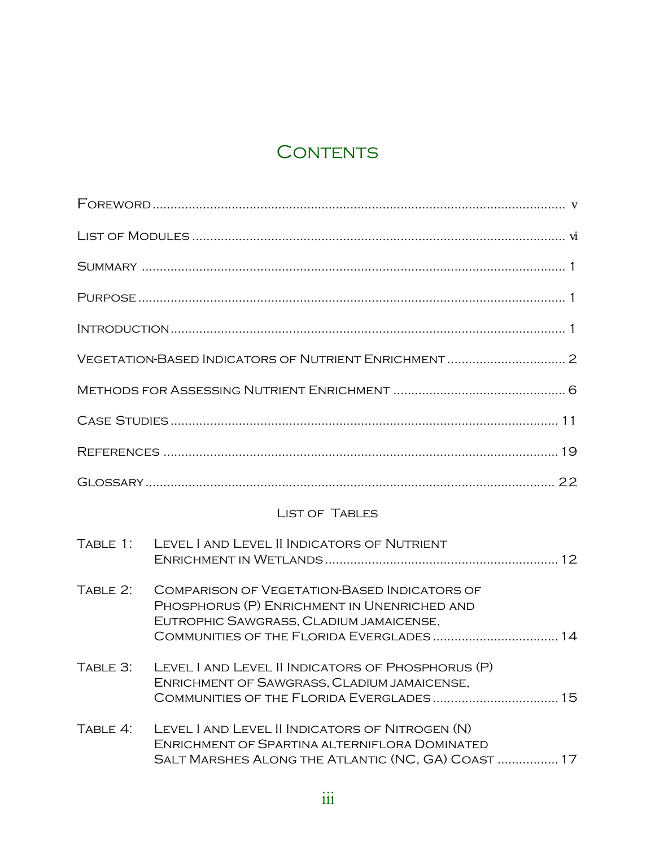# CONTENTS

|          | <b>LIST OF TABLES</b>                                                                                                                                                                     |
|----------|-------------------------------------------------------------------------------------------------------------------------------------------------------------------------------------------|
| TABLE 1: | LEVEL I AND LEVEL II INDICATORS OF NUTRIENT                                                                                                                                               |
| TABLE 2: | <b>COMPARISON OF VEGETATION-BASED INDICATORS OF</b><br>PHOSPHORUS (P) ENRICHMENT IN UNENRICHED AND<br>EUTROPHIC SAWGRASS, CLADIUM JAMAICENSE,<br>COMMUNITIES OF THE FLORIDA EVERGLADES 14 |
| TABLE 3: | LEVEL I AND LEVEL II INDICATORS OF PHOSPHORUS (P)<br>ENRICHMENT OF SAWGRASS, CLADIUM JAMAICENSE,                                                                                          |
| TABLE 4: | LEVEL I AND LEVEL II INDICATORS OF NITROGEN (N)<br>ENRICHMENT OF SPARTINA ALTERNIFLORA DOMINATED<br>SALT MARSHES ALONG THE ATLANTIC (NC, GA) COAST  17                                    |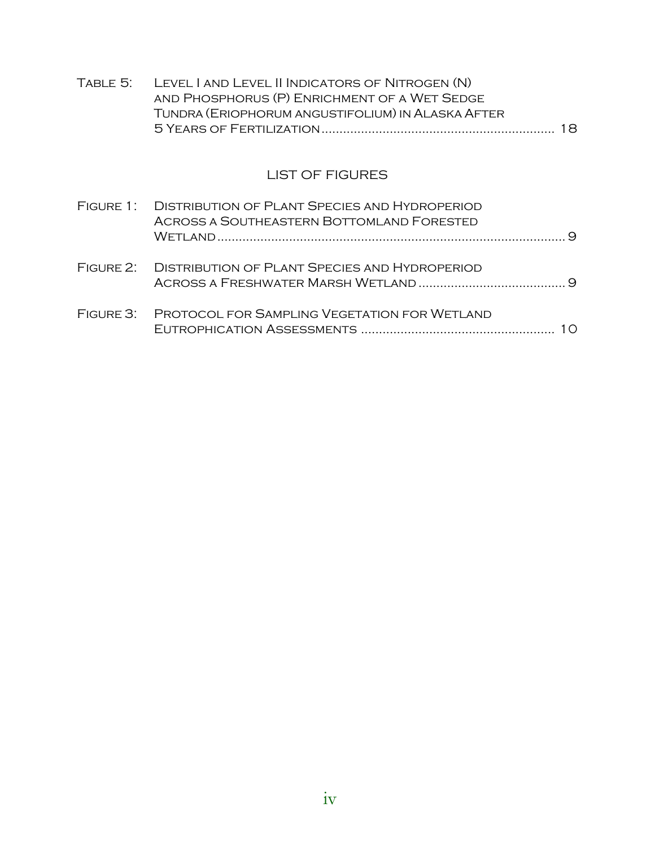| TABLE 5:  | LEVEL I AND LEVEL II INDICATORS OF NITROGEN (N)<br>AND PHOSPHORUS (P) ENRICHMENT OF A WET SEDGE<br>TUNDRA (ERIOPHORUM ANGUSTIFOLIUM) IN ALASKA AFTER | 18. |
|-----------|------------------------------------------------------------------------------------------------------------------------------------------------------|-----|
|           | <b>LIST OF FIGURES</b>                                                                                                                               |     |
|           | FIGURE 1: DISTRIBUTION OF PLANT SPECIES AND HYDROPERIOD<br>ACROSS A SOUTHEASTERN BOTTOMLAND FORESTED                                                 | Q   |
|           | FIGURE 2: DISTRIBUTION OF PLANT SPECIES AND HYDROPERIOD                                                                                              |     |
| FIGURE 3: | PROTOCOL FOR SAMPLING VEGETATION FOR WETLAND                                                                                                         | 10. |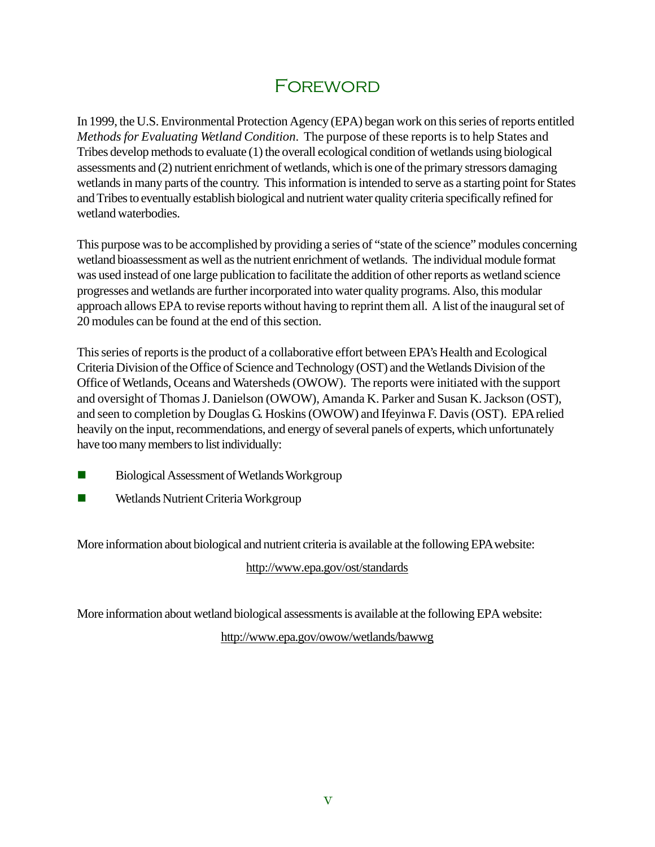# **FOREWORD**

In 1999, the U.S. Environmental Protection Agency (EPA) began work on this series of reports entitled *Methods for Evaluating Wetland Condition*. The purpose of these reports is to help States and Tribes develop methods to evaluate (1) the overall ecological condition of wetlands using biological assessments and (2) nutrient enrichment of wetlands, which is one of the primary stressors damaging wetlands in many parts of the country. This information is intended to serve as a starting point for States and Tribes to eventually establish biological and nutrient water quality criteria specifically refined for wetland waterbodies.

This purpose was to be accomplished by providing a series of "state of the science" modules concerning wetland bioassessment as well as the nutrient enrichment of wetlands. The individual module format was used instead of one large publication to facilitate the addition of other reports as wetland science progresses and wetlands are further incorporated into water quality programs. Also, this modular approach allows EPA to revise reports without having to reprint them all. A list of the inaugural set of 20 modules can be found at the end of this section.

This series of reports is the product of a collaborative effort between EPA's Health and Ecological Criteria Division of the Office of Science and Technology (OST) and the Wetlands Division of the Office of Wetlands, Oceans and Watersheds (OWOW). The reports were initiated with the support and oversight of Thomas J. Danielson (OWOW), Amanda K. Parker and Susan K. Jackson (OST), and seen to completion by Douglas G. Hoskins (OWOW) and Ifeyinwa F. Davis (OST). EPA relied heavily on the input, recommendations, and energy of several panels of experts, which unfortunately have too many members to list individually:

- $\blacksquare$  Biological Assessment of Wetlands Workgroup
- **Nutrient Criteria Workgroup**

More information about biological and nutrient criteria is available at the following EPA website:

http://www.epa.gov/ost/standards

More information about wetland biological assessments is available at the following EPA website:

http://www.epa.gov/owow/wetlands/bawwg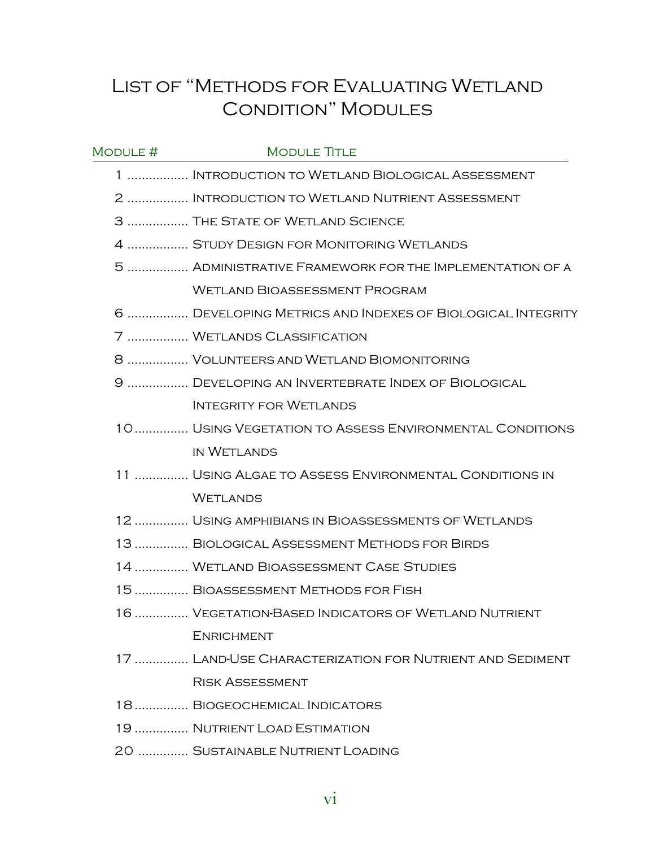# List of "Methods for Evaluating Wetland Condition" Modules

| MODULE # | <b>MODULE TITLE</b>                                       |
|----------|-----------------------------------------------------------|
|          | 1  INTRODUCTION TO WETLAND BIOLOGICAL ASSESSMENT          |
|          | 2  INTRODUCTION TO WETLAND NUTRIENT ASSESSMENT            |
|          | 3  THE STATE OF WETLAND SCIENCE                           |
|          | 4  STUDY DESIGN FOR MONITORING WETLANDS                   |
|          | 5  ADMINISTRATIVE FRAMEWORK FOR THE IMPLEMENTATION OF A   |
|          | <b>WETLAND BIOASSESSMENT PROGRAM</b>                      |
|          | 6  DEVELOPING METRICS AND INDEXES OF BIOLOGICAL INTEGRITY |
|          | 7  WETLANDS CLASSIFICATION                                |
|          | 8  VOLUNTEERS AND WETLAND BIOMONITORING                   |
|          | 9  DEVELOPING AN INVERTEBRATE INDEX OF BIOLOGICAL         |
|          | <b>INTEGRITY FOR WETLANDS</b>                             |
|          | 10 USING VEGETATION TO ASSESS ENVIRONMENTAL CONDITIONS    |
|          | <b>IN WETLANDS</b>                                        |
|          | 11  USING ALGAE TO ASSESS ENVIRONMENTAL CONDITIONS IN     |
|          | <b>WETLANDS</b>                                           |
|          | 12  USING AMPHIBIANS IN BIOASSESSMENTS OF WETLANDS        |
|          | 13  BIOLOGICAL ASSESSMENT METHODS FOR BIRDS               |
|          | 14  WETLAND BIOASSESSMENT CASE STUDIES                    |
|          | 15  BIOASSESSMENT METHODS FOR FISH                        |
|          | 16  VEGETATION-BASED INDICATORS OF WETLAND NUTRIENT       |
|          | <b>ENRICHMENT</b>                                         |
|          | 17  LAND-USE CHARACTERIZATION FOR NUTRIENT AND SEDIMENT   |
|          | <b>RISK ASSESSMENT</b>                                    |
|          | 18 BIOGEOCHEMICAL INDICATORS                              |
|          | 19  NUTRIENT LOAD ESTIMATION                              |
|          | 20  SUSTAINABLE NUTRIENT LOADING                          |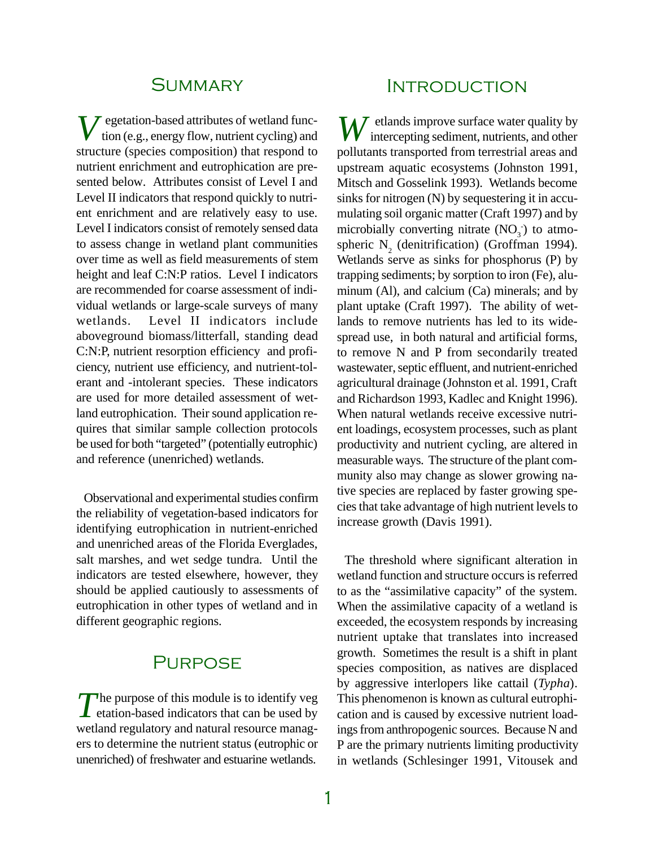# **SUMMARY**

*V* egetation-based attributes of wetland func-tion (e.g., energy flow, nutrient cycling) and structure (species composition) that respond to nutrient enrichment and eutrophication are presented below. Attributes consist of Level I and Level II indicators that respond quickly to nutrient enrichment and are relatively easy to use. Level I indicators consist of remotely sensed data to assess change in wetland plant communities over time as well as field measurements of stem height and leaf C:N:P ratios. Level I indicators are recommended for coarse assessment of individual wetlands or large-scale surveys of many wetlands. Level II indicators include aboveground biomass/litterfall, standing dead C:N:P, nutrient resorption efficiency and proficiency, nutrient use efficiency, and nutrient-tolerant and -intolerant species. These indicators are used for more detailed assessment of wetland eutrophication. Their sound application requires that similar sample collection protocols be used for both "targeted" (potentially eutrophic) and reference (unenriched) wetlands.

Observational and experimental studies confirm the reliability of vegetation-based indicators for identifying eutrophication in nutrient-enriched and unenriched areas of the Florida Everglades, salt marshes, and wet sedge tundra. Until the indicators are tested elsewhere, however, they should be applied cautiously to assessments of eutrophication in other types of wetland and in different geographic regions.

# **PURPOSE**

The purpose of this module is to identify veg<br>
tation-based indicators that can be used by The purpose of this module is to identify veg wetland regulatory and natural resource managers to determine the nutrient status (eutrophic or unenriched) of freshwater and estuarine wetlands.

# **INTRODUCTION**

*W* etlands improve surface water quality by intercepting sediment, nutrients, and other pollutants transported from terrestrial areas and upstream aquatic ecosystems (Johnston 1991, Mitsch and Gosselink 1993). Wetlands become sinks for nitrogen (N) by sequestering it in accumulating soil organic matter (Craft 1997) and by microbially converting nitrate  $(NO<sub>3</sub>)$  to atmospheric  $N_2$  (denitrification) (Groffman 1994). Wetlands serve as sinks for phosphorus (P) by trapping sediments; by sorption to iron (Fe), aluminum (Al), and calcium (Ca) minerals; and by plant uptake (Craft 1997). The ability of wetlands to remove nutrients has led to its widespread use, in both natural and artificial forms, to remove N and P from secondarily treated wastewater, septic effluent, and nutrient-enriched agricultural drainage (Johnston et al. 1991, Craft and Richardson 1993, Kadlec and Knight 1996). When natural wetlands receive excessive nutrient loadings, ecosystem processes, such as plant productivity and nutrient cycling, are altered in measurable ways. The structure of the plant community also may change as slower growing native species are replaced by faster growing species that take advantage of high nutrient levels to increase growth (Davis 1991).

The threshold where significant alteration in wetland function and structure occurs is referred to as the "assimilative capacity" of the system. When the assimilative capacity of a wetland is exceeded, the ecosystem responds by increasing nutrient uptake that translates into increased growth. Sometimes the result is a shift in plant species composition, as natives are displaced by aggressive interlopers like cattail (*Typha*). This phenomenon is known as cultural eutrophication and is caused by excessive nutrient loadings from anthropogenic sources. Because N and P are the primary nutrients limiting productivity in wetlands (Schlesinger 1991, Vitousek and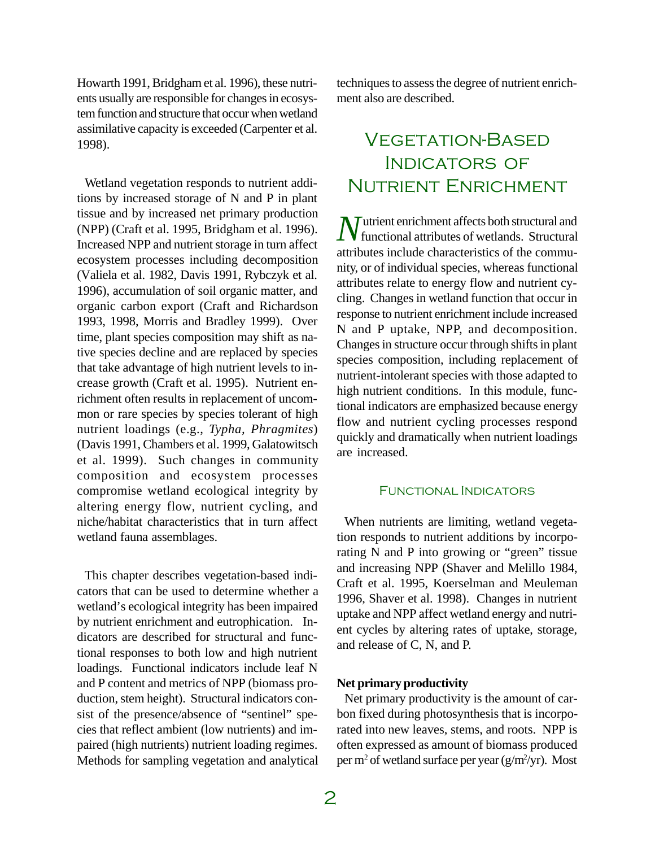Howarth 1991, Bridgham et al. 1996), these nutrients usually are responsible for changes in ecosystem function and structure that occur when wetland assimilative capacity is exceeded (Carpenter et al. 1998).

Wetland vegetation responds to nutrient additions by increased storage of N and P in plant tissue and by increased net primary production (NPP) (Craft et al. 1995, Bridgham et al. 1996). Increased NPP and nutrient storage in turn affect ecosystem processes including decomposition (Valiela et al. 1982, Davis 1991, Rybczyk et al. 1996), accumulation of soil organic matter, and organic carbon export (Craft and Richardson 1993, 1998, Morris and Bradley 1999). Over time, plant species composition may shift as native species decline and are replaced by species that take advantage of high nutrient levels to increase growth (Craft et al. 1995).Nutrient enrichment often results in replacement of uncommon or rare species by species tolerant of high nutrient loadings (e.g., *Typha, Phragmites*) (Davis 1991, Chambers et al. 1999, Galatowitsch et al. 1999). Such changes in community composition and ecosystem processes compromise wetland ecological integrity by altering energy flow, nutrient cycling, and niche/habitat characteristics that in turn affect wetland fauna assemblages.

This chapter describes vegetation-based indicators that can be used to determine whether a wetland's ecological integrity has been impaired by nutrient enrichment and eutrophication. Indicators are described for structural and functional responses to both low and high nutrient loadings. Functional indicators include leaf N and P content and metrics of NPP (biomass production, stem height). Structural indicators consist of the presence/absence of "sentinel" species that reflect ambient (low nutrients) and impaired (high nutrients) nutrient loading regimes. Methods for sampling vegetation and analytical

techniques to assess the degree of nutrient enrichment also are described.

# Vegetation-Based INDICATORS OF Nutrient Enrichment

*N* utrient enrichment affects both structural and functional attributes of wetlands. Structural functional attributes of wetlands. Structural attributes include characteristics of the community, or of individual species, whereas functional attributes relate to energy flow and nutrient cycling. Changes in wetland function that occur in response to nutrient enrichment include increased N and P uptake, NPP, and decomposition. Changes in structure occur through shifts in plant species composition, including replacement of nutrient-intolerant species with those adapted to high nutrient conditions. In this module, functional indicators are emphasized because energy flow and nutrient cycling processes respond quickly and dramatically when nutrient loadings are increased.

#### Functional Indicators

When nutrients are limiting, wetland vegetation responds to nutrient additions by incorporating N and P into growing or "green" tissue and increasing NPP (Shaver and Melillo 1984, Craft et al. 1995, Koerselman and Meuleman 1996, Shaver et al. 1998). Changes in nutrient uptake and NPP affect wetland energy and nutrient cycles by altering rates of uptake, storage, and release of C, N, and P.

#### **Net primary productivity**

Net primary productivity is the amount of carbon fixed during photosynthesis that is incorporated into new leaves, stems, and roots. NPP is often expressed as amount of biomass produced per m<sup>2</sup> of wetland surface per year (g/m<sup>2</sup>/yr). Most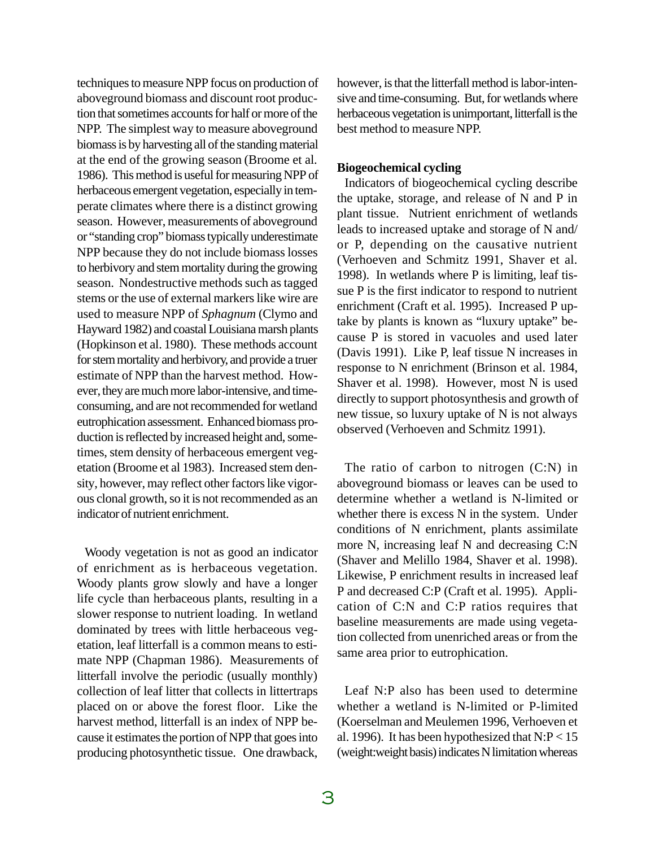techniques to measure NPP focus on production of aboveground biomass and discount root production that sometimes accounts for half or more of the NPP. The simplest way to measure aboveground biomass is by harvesting all of the standing material at the end of the growing season (Broome et al. 1986). This method is useful for measuring NPP of herbaceous emergent vegetation, especially in temperate climates where there is a distinct growing season. However, measurements of aboveground or "standing crop" biomass typically underestimate NPP because they do not include biomass losses to herbivory and stem mortality during the growing season. Nondestructive methods such as tagged stems or the use of external markers like wire are used to measure NPP of *Sphagnum* (Clymo and Hayward 1982) and coastal Louisiana marsh plants (Hopkinson et al. 1980). These methods account for stem mortality and herbivory, and provide a truer estimate of NPP than the harvest method. However, they are much more labor-intensive, and timeconsuming, and are not recommended for wetland eutrophication assessment. Enhanced biomass production is reflected by increased height and, sometimes, stem density of herbaceous emergent vegetation (Broome et al 1983). Increased stem density, however, may reflect other factors like vigorous clonal growth, so it is not recommended as an indicator of nutrient enrichment.

Woody vegetation is not as good an indicator of enrichment as is herbaceous vegetation. Woody plants grow slowly and have a longer life cycle than herbaceous plants, resulting in a slower response to nutrient loading. In wetland dominated by trees with little herbaceous vegetation, leaf litterfall is a common means to estimate NPP (Chapman 1986). Measurements of litterfall involve the periodic (usually monthly) collection of leaf litter that collects in littertraps placed on or above the forest floor. Like the harvest method, litterfall is an index of NPP because it estimates the portion of NPP that goes into producing photosynthetic tissue. One drawback,

however, is that the litterfall method is labor-intensive and time-consuming. But, for wetlands where herbaceous vegetation is unimportant, litterfall is the best method to measure NPP.

### **Biogeochemical cycling**

Indicators of biogeochemical cycling describe the uptake, storage, and release of N and P in plant tissue. Nutrient enrichment of wetlands leads to increased uptake and storage of N and/ or P, depending on the causative nutrient (Verhoeven and Schmitz 1991, Shaver et al. 1998). In wetlands where P is limiting, leaf tissue P is the first indicator to respond to nutrient enrichment (Craft et al. 1995). Increased P uptake by plants is known as "luxury uptake" because P is stored in vacuoles and used later (Davis 1991). Like P, leaf tissue N increases in response to N enrichment (Brinson et al. 1984, Shaver et al. 1998). However, most N is used directly to support photosynthesis and growth of new tissue, so luxury uptake of N is not always observed (Verhoeven and Schmitz 1991).

The ratio of carbon to nitrogen (C:N) in aboveground biomass or leaves can be used to determine whether a wetland is N-limited or whether there is excess N in the system. Under conditions of N enrichment, plants assimilate more N, increasing leaf N and decreasing C:N (Shaver and Melillo 1984, Shaver et al. 1998). Likewise, P enrichment results in increased leaf P and decreased C:P (Craft et al. 1995). Application of C:N and C:P ratios requires that baseline measurements are made using vegetation collected from unenriched areas or from the same area prior to eutrophication.

Leaf N:P also has been used to determine whether a wetland is N-limited or P-limited (Koerselman and Meulemen 1996, Verhoeven et al. 1996). It has been hypothesized that  $N: P < 15$ (weight:weight basis) indicates N limitation whereas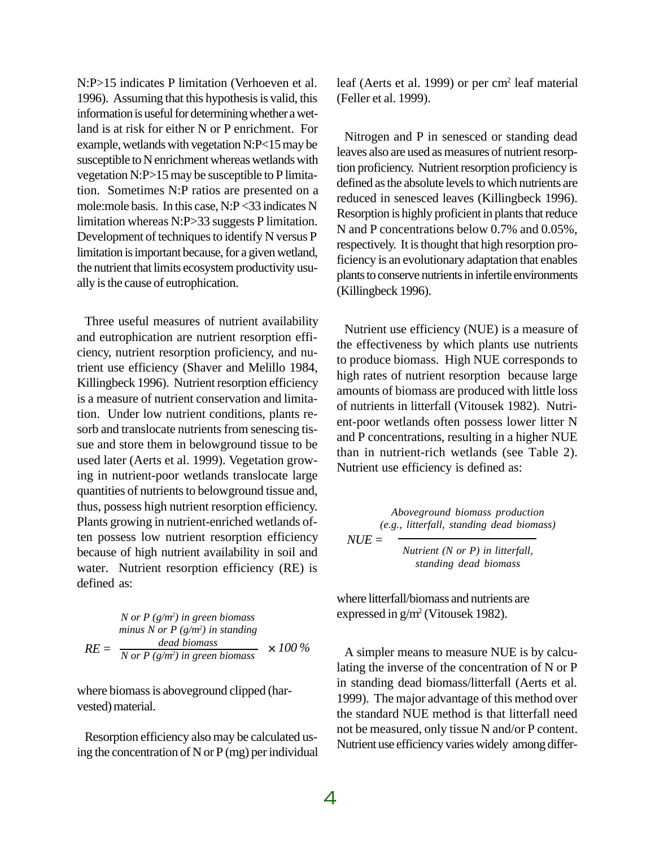N:P>15 indicates P limitation (Verhoeven et al. 1996). Assuming that this hypothesis is valid, this information is useful for determining whether a wetland is at risk for either N or P enrichment. For example, wetlands with vegetation N:P<15 may be susceptible to N enrichment whereas wetlands with vegetation N:P>15 may be susceptible to P limitation. Sometimes N:P ratios are presented on a mole:mole basis. In this case, N:P <33 indicates N limitation whereas N:P>33 suggests P limitation. Development of techniques to identify N versus P limitation is important because, for a given wetland, the nutrient that limits ecosystem productivity usually is the cause of eutrophication.

Three useful measures of nutrient availability and eutrophication are nutrient resorption efficiency, nutrient resorption proficiency, and nutrient use efficiency (Shaver and Melillo 1984, Killingbeck 1996). Nutrient resorption efficiency is a measure of nutrient conservation and limitation. Under low nutrient conditions, plants resorb and translocate nutrients from senescing tissue and store them in belowground tissue to be used later (Aerts et al. 1999). Vegetation growing in nutrient-poor wetlands translocate large quantities of nutrients to belowground tissue and, thus, possess high nutrient resorption efficiency. Plants growing in nutrient-enriched wetlands often possess low nutrient resorption efficiency because of high nutrient availability in soil and water. Nutrient resorption efficiency (RE) is defined as:

*N* or *P* (*g/m*<sup>2</sup>) in green biomass  
minus *N* or *P* (*g/m*<sup>2</sup>) in standing  

$$
RE = \frac{dead \; biomass}{\frac{N \; or \; P\; (g/m^2) \; in \; green \; biomass} \times 100 \; \%
$$

where biomass is aboveground clipped (harvested) material.

Resorption efficiency also may be calculated using the concentration of N or  $P(mg)$  per individual

leaf (Aerts et al. 1999) or per cm<sup>2</sup> leaf material (Feller et al. 1999).

Nitrogen and P in senesced or standing dead leaves also are used as measures of nutrient resorption proficiency. Nutrient resorption proficiency is defined as the absolute levels to which nutrients are reduced in senesced leaves (Killingbeck 1996). Resorption is highly proficient in plants that reduce N and P concentrations below 0.7% and 0.05%, respectively. It is thought that high resorption proficiency is an evolutionary adaptation that enables plants to conserve nutrients in infertile environments (Killingbeck 1996).

Nutrient use efficiency (NUE) is a measure of the effectiveness by which plants use nutrients to produce biomass. High NUE corresponds to high rates of nutrient resorption because large amounts of biomass are produced with little loss of nutrients in litterfall (Vitousek 1982). Nutrient-poor wetlands often possess lower litter N and P concentrations, resulting in a higher NUE than in nutrient-rich wetlands (see Table 2). Nutrient use efficiency is defined as:

Aboveground biomass production

\n(e.g., litterfall, standing dead biomass)

\n
$$
NUE =
$$

*Nutrient (N or P) in litterfall, standing dead biomass*

where litterfall/biomass and nutrients are expressed in  $g/m^2$  (Vitousek 1982).

A simpler means to measure NUE is by calculating the inverse of the concentration of N or P in standing dead biomass/litterfall (Aerts et al. 1999). The major advantage of this method over the standard NUE method is that litterfall need not be measured, only tissue N and/or P content. Nutrient use efficiency varies widely among differ-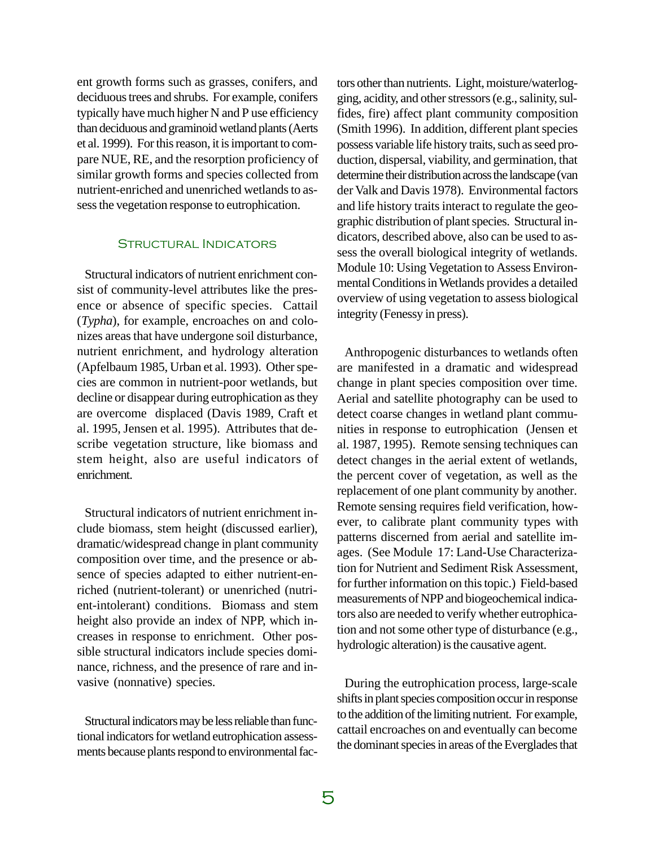ent growth forms such as grasses, conifers, and deciduous trees and shrubs. For example, conifers typically have much higher N and P use efficiency than deciduous and graminoid wetland plants (Aerts et al. 1999). For this reason, it is important to compare NUE, RE, and the resorption proficiency of similar growth forms and species collected from nutrient-enriched and unenriched wetlands to assess the vegetation response to eutrophication.

### Structural Indicators

Structural indicators of nutrient enrichment consist of community-level attributes like the presence or absence of specific species. Cattail (*Typha*), for example, encroaches on and colonizes areas that have undergone soil disturbance, nutrient enrichment, and hydrology alteration (Apfelbaum 1985, Urban et al. 1993). Other species are common in nutrient-poor wetlands, but decline or disappear during eutrophication as they are overcome displaced (Davis 1989, Craft et al. 1995, Jensen et al. 1995). Attributes that describe vegetation structure, like biomass and stem height, also are useful indicators of enrichment.

Structural indicators of nutrient enrichment include biomass, stem height (discussed earlier), dramatic/widespread change in plant community composition over time, and the presence or absence of species adapted to either nutrient-enriched (nutrient-tolerant) or unenriched (nutrient-intolerant) conditions. Biomass and stem height also provide an index of NPP, which increases in response to enrichment. Other possible structural indicators include species dominance, richness, and the presence of rare and invasive (nonnative) species.

Structural indicators may be less reliable than functional indicators for wetland eutrophication assessments because plants respond to environmental fac-

tors other than nutrients. Light, moisture/waterlogging, acidity, and other stressors (e.g., salinity, sulfides, fire) affect plant community composition (Smith 1996). In addition, different plant species possess variable life history traits, such as seed production, dispersal, viability, and germination, that determine their distribution across the landscape (van der Valk and Davis 1978). Environmental factors and life history traits interact to regulate the geographic distribution of plant species. Structural indicators, described above, also can be used to assess the overall biological integrity of wetlands. Module 10: Using Vegetation to Assess Environmental Conditions in Wetlands provides a detailed overview of using vegetation to assess biological integrity (Fenessy in press).

Anthropogenic disturbances to wetlands often are manifested in a dramatic and widespread change in plant species composition over time. Aerial and satellite photography can be used to detect coarse changes in wetland plant communities in response to eutrophication (Jensen et al. 1987, 1995). Remote sensing techniques can detect changes in the aerial extent of wetlands, the percent cover of vegetation, as well as the replacement of one plant community by another. Remote sensing requires field verification, however, to calibrate plant community types with patterns discerned from aerial and satellite images. (See Module 17: Land-Use Characterization for Nutrient and Sediment Risk Assessment, for further information on this topic.) Field-based measurements of NPP and biogeochemical indicators also are needed to verify whether eutrophication and not some other type of disturbance (e.g., hydrologic alteration) is the causative agent.

During the eutrophication process, large-scale shifts in plant species composition occur in response to the addition of the limiting nutrient. For example, cattail encroaches on and eventually can become the dominant species in areas of the Everglades that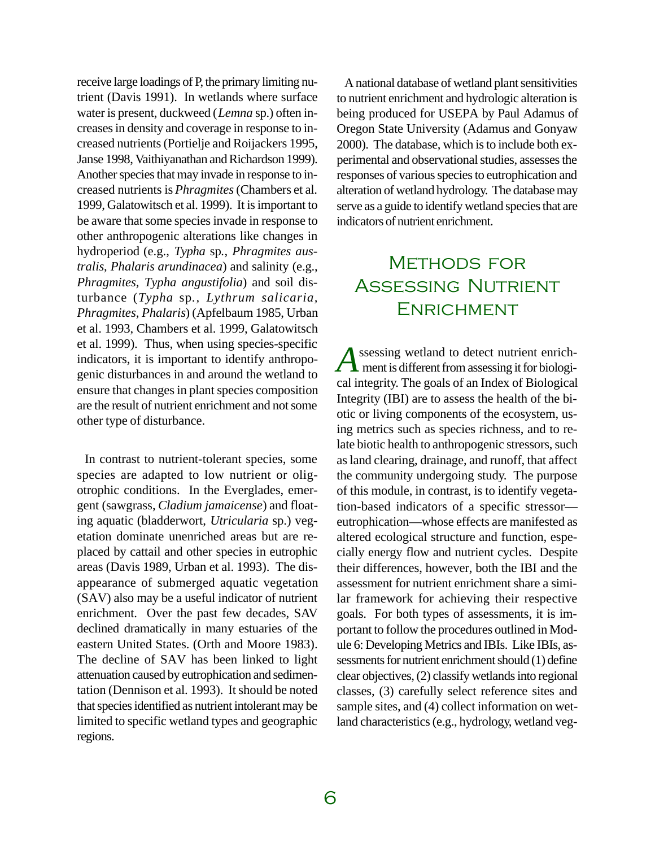receive large loadings of P, the primary limiting nutrient (Davis 1991). In wetlands where surface water is present, duckweed (*Lemna* sp.) often increases in density and coverage in response to increased nutrients (Portielje and Roijackers 1995, Janse 1998, Vaithiyanathan and Richardson 1999). Another species that may invade in response to increased nutrients is *Phragmites* (Chambers et al. 1999, Galatowitsch et al. 1999). It is important to be aware that some species invade in response to other anthropogenic alterations like changes in hydroperiod (e.g., *Typha* sp*.*, *Phragmites australis*, *Phalaris arundinacea*) and salinity (e.g., *Phragmites, Typha angustifolia*) and soil disturbance (*Typha* sp*., Lythrum salicaria, Phragmites, Phalaris*) (Apfelbaum 1985, Urban et al. 1993, Chambers et al. 1999, Galatowitsch et al. 1999). Thus, when using species-specific indicators, it is important to identify anthropogenic disturbances in and around the wetland to ensure that changes in plant species composition are the result of nutrient enrichment and not some other type of disturbance.

In contrast to nutrient-tolerant species, some species are adapted to low nutrient or oligotrophic conditions. In the Everglades, emergent (sawgrass, *Cladium jamaicense*) and floating aquatic (bladderwort, *Utricularia* sp.) vegetation dominate unenriched areas but are replaced by cattail and other species in eutrophic areas (Davis 1989, Urban et al. 1993). The disappearance of submerged aquatic vegetation (SAV) also may be a useful indicator of nutrient enrichment. Over the past few decades, SAV declined dramatically in many estuaries of the eastern United States. (Orth and Moore 1983). The decline of SAV has been linked to light attenuation caused by eutrophication and sedimentation (Dennison et al. 1993). It should be noted that species identified as nutrient intolerant may be limited to specific wetland types and geographic regions.

A national database of wetland plant sensitivities to nutrient enrichment and hydrologic alteration is being produced for USEPA by Paul Adamus of Oregon State University (Adamus and Gonyaw 2000). The database, which is to include both experimental and observational studies, assesses the responses of various species to eutrophication and alteration of wetland hydrology. The database may serve as a guide to identify wetland species that are indicators of nutrient enrichment.

# Methods for Assessing Nutrient Enrichment

*A* ssessing wetland to detect nutrient enrichment is different from assessing it for biological integrity. The goals of an Index of Biological Integrity (IBI) are to assess the health of the biotic or living components of the ecosystem, using metrics such as species richness, and to relate biotic health to anthropogenic stressors, such as land clearing, drainage, and runoff, that affect the community undergoing study. The purpose of this module, in contrast, is to identify vegetation-based indicators of a specific stressor eutrophication—whose effects are manifested as altered ecological structure and function, especially energy flow and nutrient cycles. Despite their differences, however, both the IBI and the assessment for nutrient enrichment share a similar framework for achieving their respective goals. For both types of assessments, it is important to follow the procedures outlined in Module 6: Developing Metrics and IBIs. Like IBIs, assessments for nutrient enrichment should (1) define clear objectives, (2) classify wetlands into regional classes, (3) carefully select reference sites and sample sites, and (4) collect information on wetland characteristics (e.g., hydrology, wetland veg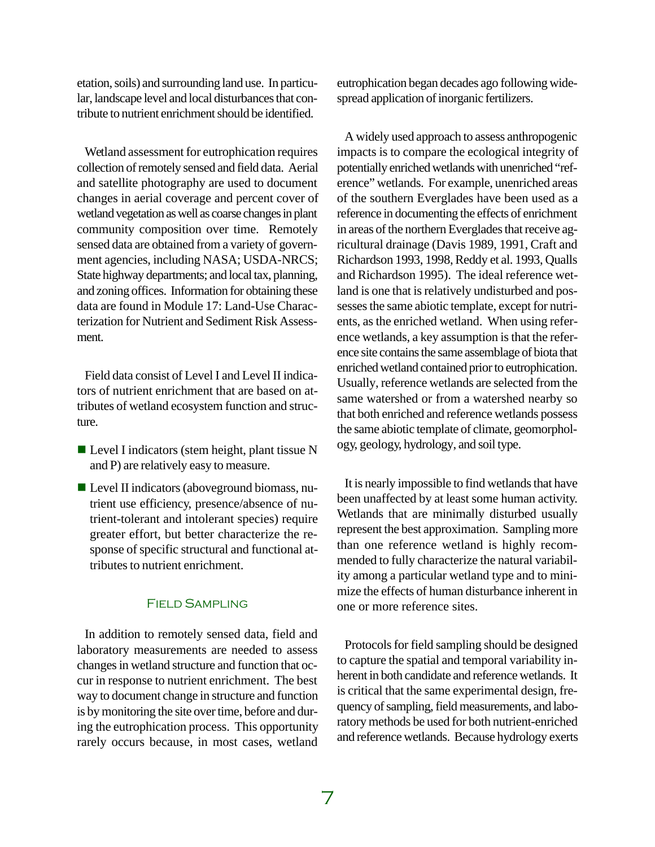etation, soils) and surrounding land use. In particular, landscape level and local disturbances that contribute to nutrient enrichment should be identified.

Wetland assessment for eutrophication requires collection of remotely sensed and field data. Aerial and satellite photography are used to document changes in aerial coverage and percent cover of wetland vegetation as well as coarse changes in plant community composition over time. Remotely sensed data are obtained from a variety of government agencies, including NASA; USDA-NRCS; State highway departments; and local tax, planning, and zoning offices. Information for obtaining these data are found in Module 17: Land-Use Characterization for Nutrient and Sediment Risk Assessment.

Field data consist of Level I and Level II indicators of nutrient enrichment that are based on attributes of wetland ecosystem function and structure.

- $\blacksquare$  Level I indicators (stem height, plant tissue N and P) are relatively easy to measure.
- $\blacksquare$  Level II indicators (aboveground biomass, nutrient use efficiency, presence/absence of nutrient-tolerant and intolerant species) require greater effort, but better characterize the response of specific structural and functional attributes to nutrient enrichment.

### Field Sampling

In addition to remotely sensed data, field and laboratory measurements are needed to assess changes in wetland structure and function that occur in response to nutrient enrichment. The best way to document change in structure and function is by monitoring the site over time, before and during the eutrophication process. This opportunity rarely occurs because, in most cases, wetland eutrophication began decades ago following widespread application of inorganic fertilizers.

A widely used approach to assess anthropogenic impacts is to compare the ecological integrity of potentially enriched wetlands with unenriched "reference" wetlands. For example, unenriched areas of the southern Everglades have been used as a reference in documenting the effects of enrichment in areas of the northern Everglades that receive agricultural drainage (Davis 1989, 1991, Craft and Richardson 1993, 1998, Reddy et al. 1993, Qualls and Richardson 1995). The ideal reference wetland is one that is relatively undisturbed and possesses the same abiotic template, except for nutrients, as the enriched wetland. When using reference wetlands, a key assumption is that the reference site contains the same assemblage of biota that enriched wetland contained prior to eutrophication. Usually, reference wetlands are selected from the same watershed or from a watershed nearby so that both enriched and reference wetlands possess the same abiotic template of climate, geomorphology, geology, hydrology, and soil type.

It is nearly impossible to find wetlands that have been unaffected by at least some human activity. Wetlands that are minimally disturbed usually represent the best approximation. Sampling more than one reference wetland is highly recommended to fully characterize the natural variability among a particular wetland type and to minimize the effects of human disturbance inherent in one or more reference sites.

Protocols for field sampling should be designed to capture the spatial and temporal variability inherent in both candidate and reference wetlands. It is critical that the same experimental design, frequency of sampling, field measurements, and laboratory methods be used for both nutrient-enriched and reference wetlands. Because hydrology exerts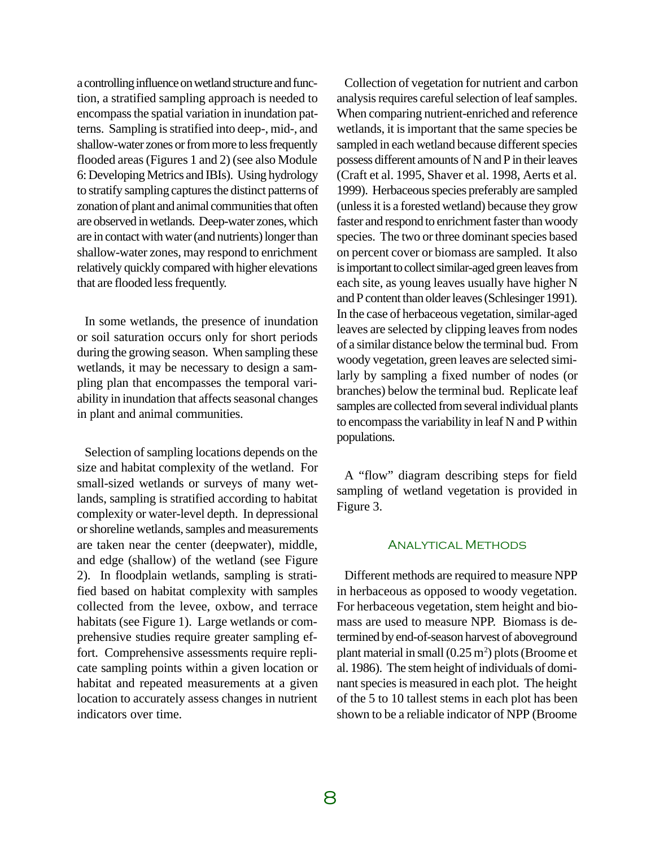a controlling influence on wetland structure and function, a stratified sampling approach is needed to encompass the spatial variation in inundation patterns. Sampling is stratified into deep-, mid-, and shallow-water zones or from more to less frequently flooded areas (Figures 1 and 2) (see also Module 6: Developing Metrics and IBIs). Using hydrology to stratify sampling captures the distinct patterns of zonation of plant and animal communities that often are observed in wetlands. Deep-water zones, which are in contact with water (and nutrients) longer than shallow-water zones, may respond to enrichment relatively quickly compared with higher elevations that are flooded less frequently.

In some wetlands, the presence of inundation or soil saturation occurs only for short periods during the growing season. When sampling these wetlands, it may be necessary to design a sampling plan that encompasses the temporal variability in inundation that affects seasonal changes in plant and animal communities.

Selection of sampling locations depends on the size and habitat complexity of the wetland. For small-sized wetlands or surveys of many wetlands, sampling is stratified according to habitat complexity or water-level depth. In depressional or shoreline wetlands, samples and measurements are taken near the center (deepwater), middle, and edge (shallow) of the wetland (see Figure 2). In floodplain wetlands, sampling is stratified based on habitat complexity with samples collected from the levee, oxbow, and terrace habitats (see Figure 1). Large wetlands or comprehensive studies require greater sampling effort. Comprehensive assessments require replicate sampling points within a given location or habitat and repeated measurements at a given location to accurately assess changes in nutrient indicators over time.

Collection of vegetation for nutrient and carbon analysis requires careful selection of leaf samples. When comparing nutrient-enriched and reference wetlands, it is important that the same species be sampled in each wetland because different species possess different amounts of N and P in their leaves (Craft et al. 1995, Shaver et al. 1998, Aerts et al. 1999). Herbaceous species preferably are sampled (unless it is a forested wetland) because they grow faster and respond to enrichment faster than woody species. The two or three dominant species based on percent cover or biomass are sampled. It also is important to collect similar-aged green leaves from each site, as young leaves usually have higher N and P content than older leaves (Schlesinger 1991). In the case of herbaceous vegetation, similar-aged leaves are selected by clipping leaves from nodes of a similar distance below the terminal bud. From woody vegetation, green leaves are selected similarly by sampling a fixed number of nodes (or branches) below the terminal bud. Replicate leaf samples are collected from several individual plants to encompass the variability in leaf N and P within populations.

A "flow" diagram describing steps for field sampling of wetland vegetation is provided in Figure 3.

#### Analytical Methods

Different methods are required to measure NPP in herbaceous as opposed to woody vegetation. For herbaceous vegetation, stem height and biomass are used to measure NPP. Biomass is determined by end-of-season harvest of aboveground plant material in small  $(0.25 \text{ m}^2)$  plots (Broome et al. 1986). The stem height of individuals of dominant species is measured in each plot. The height of the 5 to 10 tallest stems in each plot has been shown to be a reliable indicator of NPP (Broome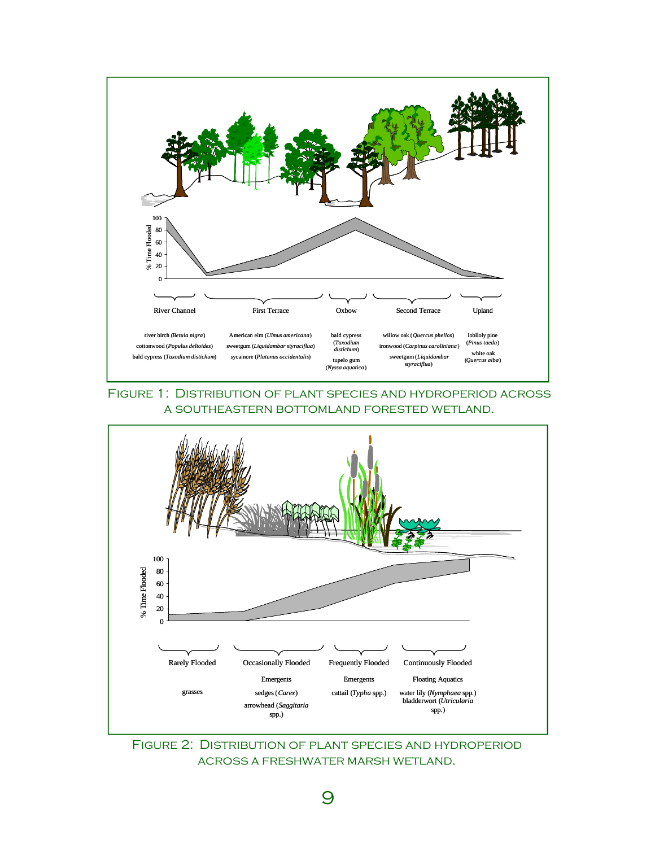

### Figure 1: Distribution of plant species and hydroperiod across a southeastern bottomland forested wetland.



Figure 2: Distribution of plant species and hydroperiod across a freshwater marsh wetland.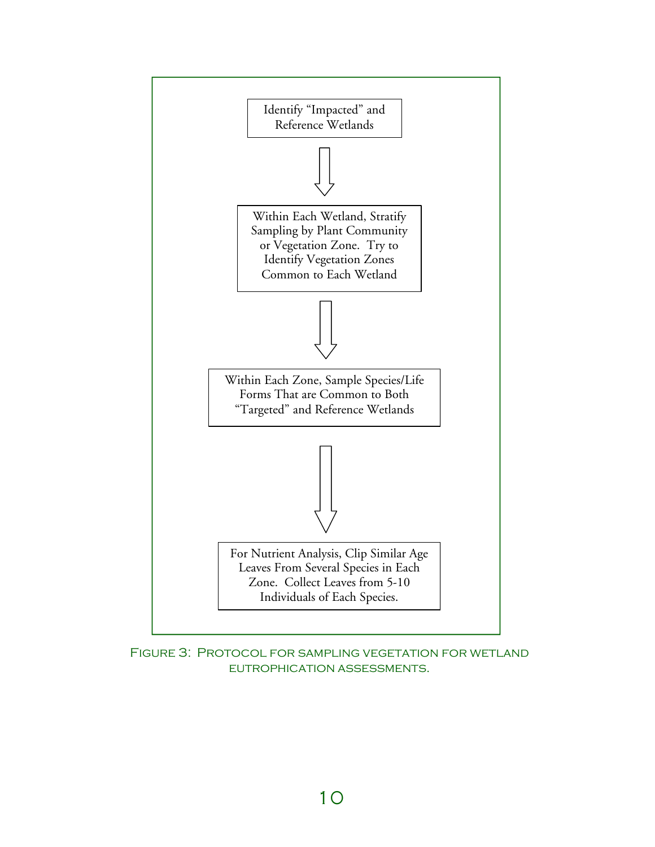

Figure 3: Protocol for sampling vegetation for wetland eutrophication assessments.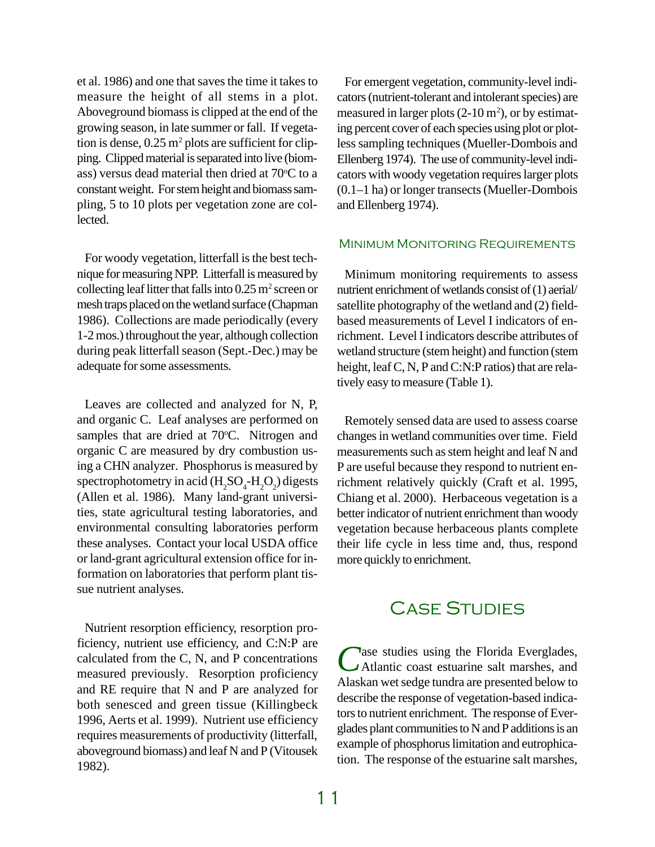et al. 1986) and one that saves the time it takes to measure the height of all stems in a plot. Aboveground biomass is clipped at the end of the growing season, in late summer or fall. If vegetation is dense,  $0.25 \text{ m}^2$  plots are sufficient for clipping. Clipped material is separated into live (biomass) versus dead material then dried at  $70^{\circ}$ C to a constant weight. For stem height and biomass sampling, 5 to 10 plots per vegetation zone are collected.

For woody vegetation, litterfall is the best technique for measuring NPP. Litterfall is measured by collecting leaf litter that falls into  $0.25$  m<sup>2</sup> screen or mesh traps placed on the wetland surface (Chapman 1986). Collections are made periodically (every 1-2 mos.) throughout the year, although collection during peak litterfall season (Sept.-Dec.) may be adequate for some assessments.

Leaves are collected and analyzed for N, P, and organic C. Leaf analyses are performed on samples that are dried at 70°C. Nitrogen and organic C are measured by dry combustion using a CHN analyzer. Phosphorus is measured by spectrophotometry in acid ( $H_2SO_4$ - $H_2O_2$ ) digests (Allen et al. 1986). Many land-grant universities, state agricultural testing laboratories, and environmental consulting laboratories perform these analyses. Contact your local USDA office or land-grant agricultural extension office for information on laboratories that perform plant tissue nutrient analyses.

Nutrient resorption efficiency, resorption proficiency, nutrient use efficiency, and C:N:P are calculated from the C, N, and P concentrations measured previously. Resorption proficiency and RE require that N and P are analyzed for both senesced and green tissue (Killingbeck 1996, Aerts et al. 1999). Nutrient use efficiency requires measurements of productivity (litterfall, aboveground biomass) and leaf N and P (Vitousek 1982).

For emergent vegetation, community-level indicators (nutrient-tolerant and intolerant species) are measured in larger plots  $(2\times10 \,\mathrm{m}^2)$ , or by estimating percent cover of each species using plot or plotless sampling techniques (Mueller-Dombois and Ellenberg 1974). The use of community-level indicators with woody vegetation requires larger plots (0.1–1 ha) or longer transects (Mueller-Dombois and Ellenberg 1974).

### MINIMUM MONITORING REQUIREMENTS

Minimum monitoring requirements to assess nutrient enrichment of wetlands consist of (1) aerial/ satellite photography of the wetland and (2) fieldbased measurements of Level I indicators of enrichment. Level I indicators describe attributes of wetland structure (stem height) and function (stem height, leaf C, N, P and C:N:P ratios) that are relatively easy to measure (Table 1).

Remotely sensed data are used to assess coarse changes in wetland communities over time. Field measurements such as stem height and leaf N and P are useful because they respond to nutrient enrichment relatively quickly (Craft et al. 1995, Chiang et al. 2000). Herbaceous vegetation is a better indicator of nutrient enrichment than woody vegetation because herbaceous plants complete their life cycle in less time and, thus, respond more quickly to enrichment.

# Case Studies

Case studies using the Florida Everglades,<br>
CAtlantic coast estuarine salt marshes, and Tase studies using the Florida Everglades, Alaskan wet sedge tundra are presented below to describe the response of vegetation-based indicators to nutrient enrichment. The response of Everglades plant communities to N and P additions is an example of phosphorus limitation and eutrophication. The response of the estuarine salt marshes,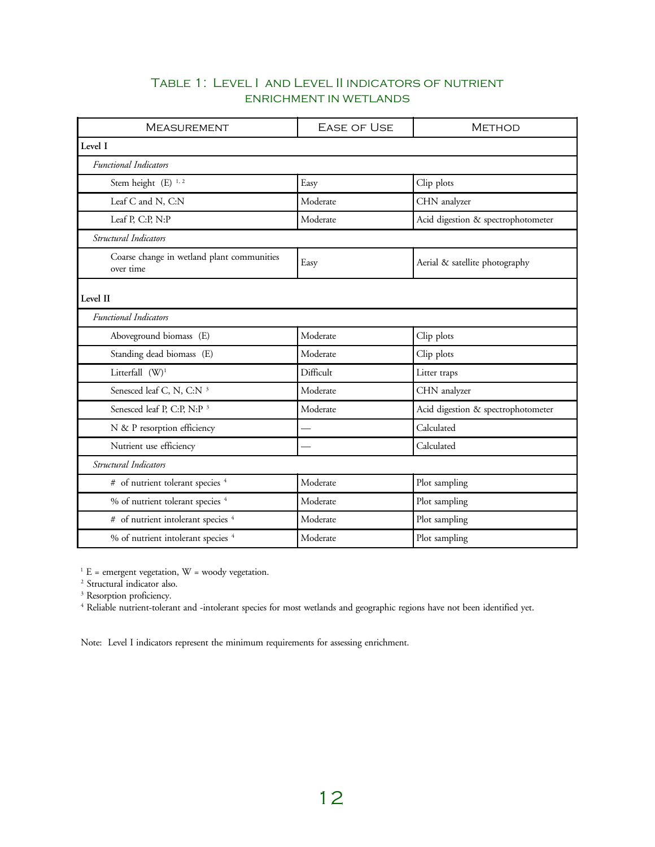### Table 1: Level I and Level II indicators of nutrient enrichment in wetlands

| <b>MEASUREMENT</b>                                      | <b>EASE OF USE</b> | <b>METHOD</b>                      |  |
|---------------------------------------------------------|--------------------|------------------------------------|--|
| Level I                                                 |                    |                                    |  |
| Functional Indicators                                   |                    |                                    |  |
| Stem height (E) <sup>1,2</sup>                          | Easy               | Clip plots                         |  |
| Leaf C and N, C:N                                       | Moderate           | CHN analyzer                       |  |
| Leaf P, C:P, N:P                                        | Moderate           | Acid digestion & spectrophotometer |  |
| Structural Indicators                                   |                    |                                    |  |
| Coarse change in wetland plant communities<br>over time | Easy               | Aerial & satellite photography     |  |
| Level II                                                |                    |                                    |  |
| Functional Indicators                                   |                    |                                    |  |
| Aboveground biomass (E)                                 | Moderate           | Clip plots                         |  |
| Standing dead biomass (E)                               | Moderate           | Clip plots                         |  |
| Litterfall (W) <sup>1</sup>                             | Difficult          | Litter traps                       |  |
| Senesced leaf C, N, C:N <sup>3</sup>                    | Moderate           | CHN analyzer                       |  |
| Senesced leaf P, C:P, N:P <sup>3</sup>                  | Moderate           | Acid digestion & spectrophotometer |  |
| N & P resorption efficiency                             |                    | Calculated                         |  |
| Nutrient use efficiency                                 |                    | Calculated                         |  |
| Structural Indicators                                   |                    |                                    |  |
| # of nutrient tolerant species <sup>4</sup>             | Moderate           | Plot sampling                      |  |
| % of nutrient tolerant species <sup>4</sup>             | Moderate           | Plot sampling                      |  |
| # of nutrient intolerant species <sup>4</sup>           | Moderate           | Plot sampling                      |  |
| % of nutrient intolerant species <sup>4</sup>           | Moderate           | Plot sampling                      |  |

 $1 E$  = emergent vegetation, W = woody vegetation.

2 Structural indicator also.

<sup>3</sup> Resorption proficiency.<br><sup>4</sup> Reliable nutrient-tolerant and -intolerant species for most wetlands and geographic regions have not been identified yet.

Note: Level I indicators represent the minimum requirements for assessing enrichment.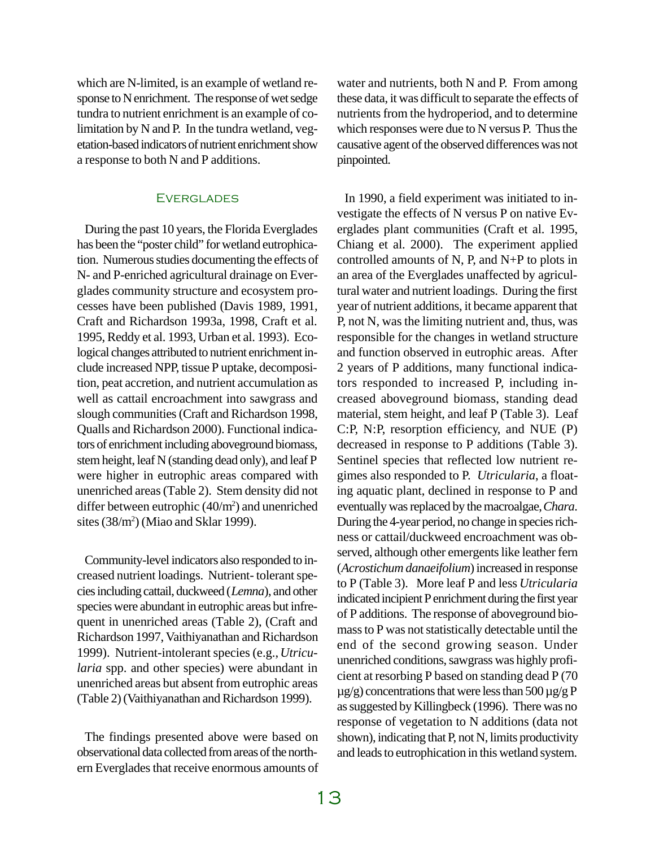which are N-limited, is an example of wetland response to N enrichment. The response of wet sedge tundra to nutrient enrichment is an example of colimitation by N and P. In the tundra wetland, vegetation-based indicators of nutrient enrichment show a response to both N and P additions.

#### **EVERGLADES**

During the past 10 years, the Florida Everglades has been the "poster child" for wetland eutrophication. Numerous studies documenting the effects of N- and P-enriched agricultural drainage on Everglades community structure and ecosystem processes have been published (Davis 1989, 1991, Craft and Richardson 1993a, 1998, Craft et al. 1995, Reddy et al. 1993, Urban et al. 1993). Ecological changes attributed to nutrient enrichment include increased NPP, tissue P uptake, decomposition, peat accretion, and nutrient accumulation as well as cattail encroachment into sawgrass and slough communities (Craft and Richardson 1998, Qualls and Richardson 2000). Functional indicators of enrichment including aboveground biomass, stem height, leaf N (standing dead only), and leaf P were higher in eutrophic areas compared with unenriched areas (Table 2). Stem density did not differ between eutrophic (40/m<sup>2</sup>) and unenriched sites (38/m<sup>2</sup>) (Miao and Sklar 1999).

Community-level indicators also responded to increased nutrient loadings. Nutrient- tolerant species including cattail, duckweed (*Lemna*), and other species were abundant in eutrophic areas but infrequent in unenriched areas (Table 2), (Craft and Richardson 1997, Vaithiyanathan and Richardson 1999). Nutrient-intolerant species (e.g., *Utricularia* spp. and other species) were abundant in unenriched areas but absent from eutrophic areas (Table 2) (Vaithiyanathan and Richardson 1999).

The findings presented above were based on observational data collected from areas of the northern Everglades that receive enormous amounts of water and nutrients, both N and P. From among these data, it was difficult to separate the effects of nutrients from the hydroperiod, and to determine which responses were due to N versus P. Thus the causative agent of the observed differences was not pinpointed.

In 1990, a field experiment was initiated to investigate the effects of N versus P on native Everglades plant communities (Craft et al. 1995, Chiang et al. 2000). The experiment applied controlled amounts of N, P, and N+P to plots in an area of the Everglades unaffected by agricultural water and nutrient loadings. During the first year of nutrient additions, it became apparent that P, not N, was the limiting nutrient and, thus, was responsible for the changes in wetland structure and function observed in eutrophic areas. After 2 years of P additions, many functional indicators responded to increased P, including increased aboveground biomass, standing dead material, stem height, and leaf P (Table 3). Leaf C:P, N:P, resorption efficiency, and NUE (P) decreased in response to P additions (Table 3). Sentinel species that reflected low nutrient regimes also responded to P. *Utricularia*, a floating aquatic plant, declined in response to P and eventually was replaced by the macroalgae, *Chara*. During the 4-year period, no change in species richness or cattail/duckweed encroachment was observed, although other emergents like leather fern (*Acrostichum danaeifolium*) increased in response to P (Table 3). More leaf P and less *Utricularia* indicated incipient P enrichment during the first year of P additions. The response of aboveground biomass to P was not statistically detectable until the end of the second growing season. Under unenriched conditions, sawgrass was highly proficient at resorbing P based on standing dead P (70  $\mu$ g/g) concentrations that were less than 500  $\mu$ g/g P as suggested by Killingbeck (1996). There was no response of vegetation to N additions (data not shown), indicating that P, not N, limits productivity and leads to eutrophication in this wetland system.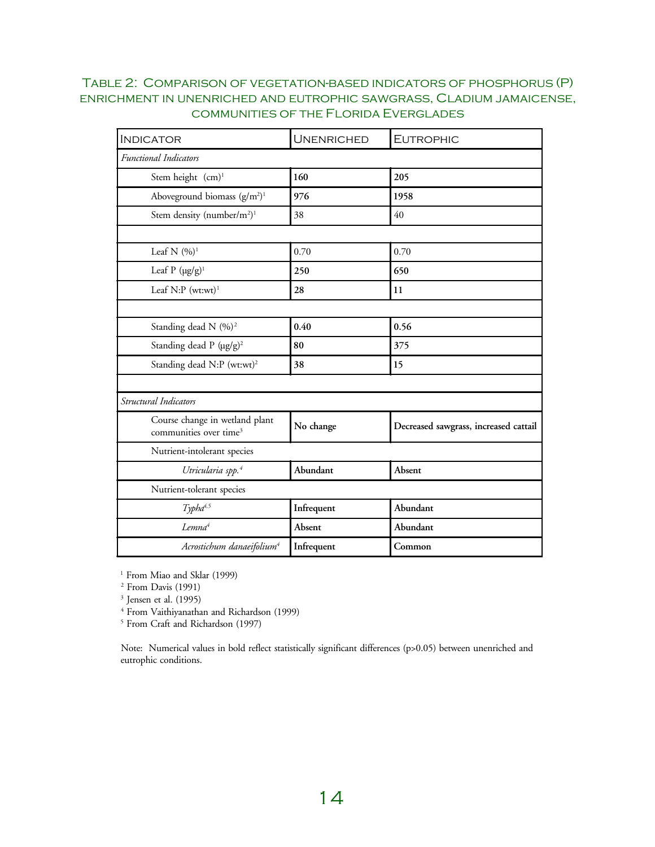## Table 2: Comparison of vegetation-based indicators of phosphorus (P) enrichment in unenriched and eutrophic sawgrass, Cladium jamaicense, communities of the Florida Everglades

| <b>INDICATOR</b>                                                     | <b>UNENRICHED</b> | <b>EUTROPHIC</b>                      |  |
|----------------------------------------------------------------------|-------------------|---------------------------------------|--|
| Functional Indicators                                                |                   |                                       |  |
| Stem height (cm) <sup>1</sup>                                        | 160               | 205                                   |  |
| Aboveground biomass $(g/m2)1$                                        | 976               | 1958                                  |  |
| Stem density (number/m <sup>2</sup> ) <sup>1</sup>                   | 38                | 40                                    |  |
|                                                                      |                   |                                       |  |
| Leaf N $(%)$ <sup>1</sup>                                            | 0.70              | 0.70                                  |  |
| Leaf P $(\mu g/g)^1$                                                 | 250               | 650                                   |  |
| Leaf $N: P$ (wt:wt) <sup>1</sup>                                     | 28                | 11                                    |  |
|                                                                      |                   |                                       |  |
| Standing dead N (%) <sup>2</sup>                                     | 0.40              | 0.56                                  |  |
| Standing dead P (µg/g) <sup>2</sup>                                  | 80                | 375                                   |  |
| Standing dead N:P (wt:wt) <sup>2</sup>                               | 38                | 15                                    |  |
|                                                                      |                   |                                       |  |
| Structural Indicators                                                |                   |                                       |  |
| Course change in wetland plant<br>communities over time <sup>3</sup> | No change         | Decreased sawgrass, increased cattail |  |
| Nutrient-intolerant species                                          |                   |                                       |  |
| Utricularia spp. <sup>4</sup>                                        | Abundant          | Absent                                |  |
| Nutrient-tolerant species                                            |                   |                                       |  |
| Typha <sup>4,5</sup>                                                 | Infrequent        | Abundant                              |  |
| Lemna <sup>4</sup>                                                   | Absent            | Abundant                              |  |
| Acrostichum danaeifolium <sup>4</sup>                                | Infrequent        | Common                                |  |

<sup>1</sup> From Miao and Sklar (1999)

2 From Davis (1991)

3 Jensen et al. (1995)

4 From Vaithiyanathan and Richardson (1999)

5 From Craft and Richardson (1997)

Note: Numerical values in bold reflect statistically significant differences (p>0.05) between unenriched and eutrophic conditions.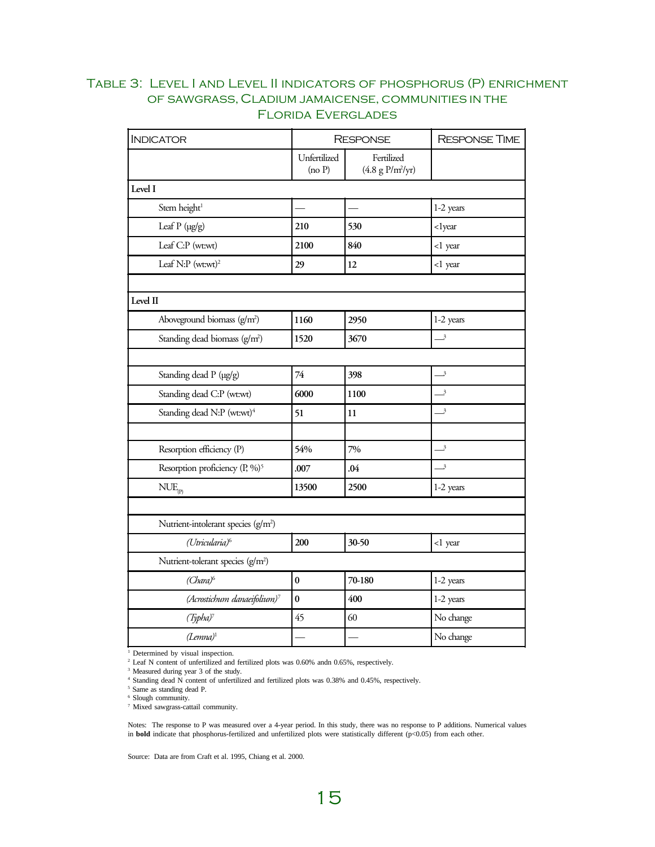# Table 3: Level I and Level II indicators of phosphorus (P) enrichment of sawgrass, Cladium jamaicense, communities in the Florida Everglades

| <b>INDICATOR</b><br><b>RESPONSE</b>             |                        |                                  | <b>RESPONSE TIME</b>       |  |
|-------------------------------------------------|------------------------|----------------------------------|----------------------------|--|
|                                                 | Unfertilized<br>(no P) | Fertilized<br>$(4.8 g P/m^2/yr)$ |                            |  |
| Level I                                         |                        |                                  |                            |  |
| Stem height <sup>1</sup>                        |                        |                                  | 1-2 years                  |  |
| Leaf P (µg/g)                                   | 210                    | 530                              | <lyear< td=""></lyear<>    |  |
| Leaf C:P (wt:wt)                                | 2100                   | 840                              | <1 year                    |  |
| Leaf N:P $(wt:wt)^2$                            | 29                     | 12                               | <1 year                    |  |
|                                                 |                        |                                  |                            |  |
| Level II                                        |                        |                                  |                            |  |
| Aboveground biomass (g/m <sup>2</sup> )         | 1160                   | 2950                             | 1-2 years                  |  |
| Standing dead biomass $(g/m2)$                  | 1520                   | 3670                             | $\overline{\phantom{a}}^3$ |  |
|                                                 |                        |                                  |                            |  |
| Standing dead P (µg/g)                          | 74                     | 398                              | $\overline{\mathbf{3}}$    |  |
| Standing dead C:P (wt:wt)                       | 6000                   | 1100                             | $\overline{\mathbf{3}}$    |  |
| Standing dead N:P (wt:wt) <sup>4</sup>          | 51                     | $11\,$                           | $\overline{\mathbf{3}}$    |  |
|                                                 |                        |                                  |                            |  |
| Resorption efficiency (P)                       | 54%                    | 7%                               | $\overline{\mathbf{3}}$    |  |
| Resorption proficiency (P, %) <sup>5</sup>      | .007                   | .04                              | $\overline{\mathbf{3}}$    |  |
| $NUE_{(p)}$                                     | 13500                  | 2500                             | 1-2 years                  |  |
|                                                 |                        |                                  |                            |  |
| Nutrient-intolerant species (g/m <sup>2</sup> ) |                        |                                  |                            |  |
| (Utricularia) <sup>6</sup>                      | 200                    | 30-50                            | <1 year                    |  |
| Nutrient-tolerant species (g/m <sup>2</sup> )   |                        |                                  |                            |  |
| $(Chara)^6$                                     | $\bf{0}$               | 70-180                           | 1-2 years                  |  |
| (Acrostichum danaeifolium) <sup>7</sup>         | $\bf{0}$               | 400                              | 1-2 years                  |  |
| $(Typha)^7$                                     | 45                     | 60                               | No change                  |  |
| $(Lemma)^1$                                     |                        |                                  | No change                  |  |

1 Determined by visual inspection. 2 Leaf N content of unfertilized and fertilized plots was 0.60% andn 0.65%, respectively.

3 Measured during year 3 of the study.

4 Standing dead N content of unfertilized and fertilized plots was 0.38% and 0.45%, respectively.

5 Same as standing dead P.

6 Slough community.

7 Mixed sawgrass-cattail community.

Notes: The response to P was measured over a 4-year period. In this study, there was no response to P additions. Numerical values in **bold** indicate that phosphorus-fertilized and unfertilized plots were statistically different (p<0.05) from each other.

Source: Data are from Craft et al. 1995, Chiang et al. 2000.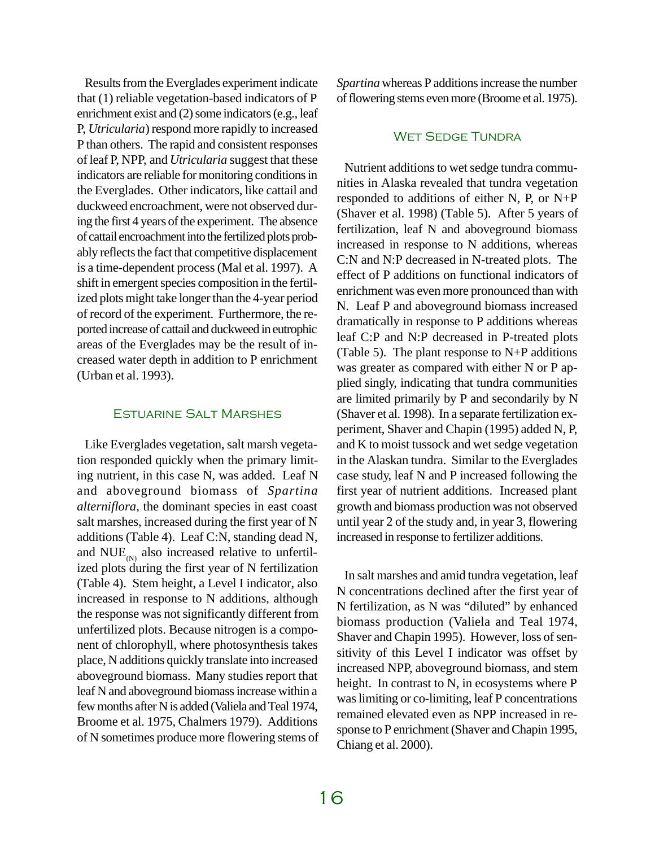Results from the Everglades experiment indicate that (1) reliable vegetation-based indicators of P enrichment exist and (2) some indicators (e.g., leaf P, *Utricularia*) respond more rapidly to increased P than others. The rapid and consistent responses of leaf P, NPP, and *Utricularia* suggest that these indicators are reliable for monitoring conditions in the Everglades. Other indicators, like cattail and duckweed encroachment, were not observed during the first 4 years of the experiment. The absence of cattail encroachment into the fertilized plots probably reflects the fact that competitive displacement is a time-dependent process (Mal et al. 1997). A shift in emergent species composition in the fertilized plots might take longer than the 4-year period of record of the experiment. Furthermore, the reported increase of cattail and duckweed in eutrophic areas of the Everglades may be the result of increased water depth in addition to P enrichment (Urban et al. 1993).

#### Estuarine Salt Marshes

Like Everglades vegetation, salt marsh vegetation responded quickly when the primary limiting nutrient, in this case N, was added. Leaf N and aboveground biomass of *Spartina alterniflora*, the dominant species in east coast salt marshes, increased during the first year of N additions (Table 4). Leaf C:N, standing dead N, and  $NUE_{(N)}$  also increased relative to unfertilized plots during the first year of N fertilization (Table 4). Stem height, a Level I indicator, also increased in response to N additions, although the response was not significantly different from unfertilized plots. Because nitrogen is a component of chlorophyll, where photosynthesis takes place, N additions quickly translate into increased aboveground biomass. Many studies report that leaf N and aboveground biomass increase within a few months after N is added (Valiela and Teal 1974, Broome et al. 1975, Chalmers 1979). Additions of N sometimes produce more flowering stems of *Spartina* whereas P additions increase the number of flowering stems even more (Broome et al. 1975).

#### **WET SEDGE TUNDRA**

Nutrient additions to wet sedge tundra communities in Alaska revealed that tundra vegetation responded to additions of either N, P, or N+P (Shaver et al. 1998) (Table 5). After 5 years of fertilization, leaf N and aboveground biomass increased in response to N additions, whereas C:N and N:P decreased in N-treated plots. The effect of P additions on functional indicators of enrichment was even more pronounced than with N. Leaf P and aboveground biomass increased dramatically in response to P additions whereas leaf C:P and N:P decreased in P-treated plots (Table 5). The plant response to N+P additions was greater as compared with either N or P applied singly, indicating that tundra communities are limited primarily by P and secondarily by N (Shaver et al. 1998). In a separate fertilization experiment, Shaver and Chapin (1995) added N, P, and K to moist tussock and wet sedge vegetation in the Alaskan tundra. Similar to the Everglades case study, leaf N and P increased following the first year of nutrient additions. Increased plant growth and biomass production was not observed until year 2 of the study and, in year 3, flowering increased in response to fertilizer additions.

In salt marshes and amid tundra vegetation, leaf N concentrations declined after the first year of N fertilization, as N was "diluted" by enhanced biomass production (Valiela and Teal 1974, Shaver and Chapin 1995). However, loss of sensitivity of this Level I indicator was offset by increased NPP, aboveground biomass, and stem height. In contrast to N, in ecosystems where P was limiting or co-limiting, leaf P concentrations remained elevated even as NPP increased in response to P enrichment (Shaver and Chapin 1995, Chiang et al. 2000).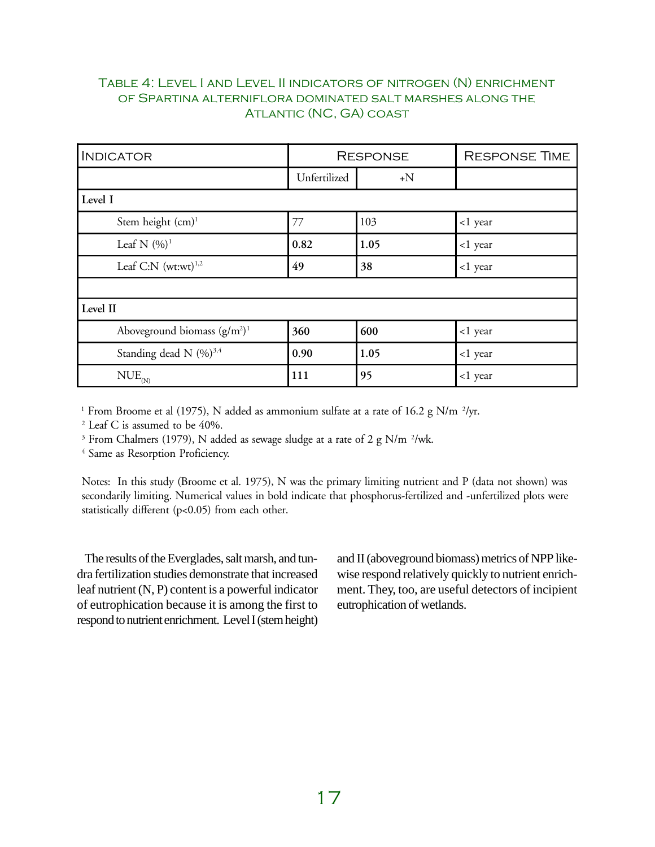# Table 4: Level I and Level II indicators of nitrogen (N) enrichment of Spartina alterniflora dominated salt marshes along the Atlantic (NC, GA) coast

| <b>INDICATOR</b>                    | <b>RESPONSE</b> |      | <b>RESPONSE TIME</b> |  |
|-------------------------------------|-----------------|------|----------------------|--|
|                                     | Unfertilized    | $+N$ |                      |  |
| Level I                             |                 |      |                      |  |
| Stem height (cm) <sup>1</sup>       | 77              | 103  | <1 year              |  |
| Leaf N $(\frac{9}{0})^1$            | 0.82            | 1.05 | <1 year              |  |
| Leaf C:N $(wt:wt)^{1,2}$            | 49              | 38   | <1 year              |  |
|                                     |                 |      |                      |  |
| Level II                            |                 |      |                      |  |
| Aboveground biomass $(g/m2)1$       | 360             | 600  | <1 year              |  |
| Standing dead N (%) <sup>3,4</sup>  | 0.90            | 1.05 | <1 year              |  |
| $\text{NUE}_{_{\text{\tiny{(N)}}}}$ | 111             | 95   | <1 year              |  |

<sup>1</sup> From Broome et al (1975), N added as ammonium sulfate at a rate of 16.2 g N/m <sup>2</sup>/yr.

2 Leaf C is assumed to be 40%.

<sup>3</sup> From Chalmers (1979), N added as sewage sludge at a rate of 2 g N/m <sup>2</sup>/wk.

4 Same as Resorption Proficiency.

Notes: In this study (Broome et al. 1975), N was the primary limiting nutrient and P (data not shown) was secondarily limiting. Numerical values in bold indicate that phosphorus-fertilized and -unfertilized plots were statistically different (p<0.05) from each other.

The results of the Everglades, salt marsh, and tundra fertilization studies demonstrate that increased leaf nutrient (N, P) content is a powerful indicator of eutrophication because it is among the first to respond to nutrient enrichment. Level I (stem height) and II (aboveground biomass) metrics of NPP likewise respond relatively quickly to nutrient enrichment. They, too, are useful detectors of incipient eutrophication of wetlands.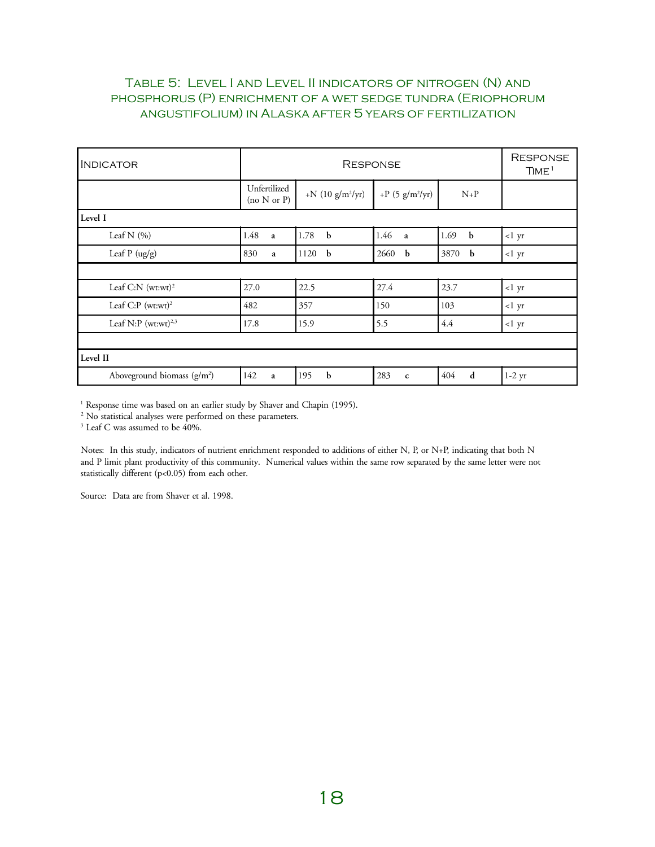# Table 5: Level I and Level II indicators of nitrogen (N) and phosphorus (P) enrichment of a wet sedge tundra (Eriophorum angustifolium) in Alaska after 5 years of fertilization

| <b>INDICATOR</b>                 | <b>RESPONSE</b>             |                                   |                                  |                     | <b>RESPONSE</b><br>TIME <sup>1</sup> |
|----------------------------------|-----------------------------|-----------------------------------|----------------------------------|---------------------|--------------------------------------|
|                                  | Unfertilized<br>(no N or P) | +N $(10 \text{ g/m}^2/\text{yr})$ | +P $(5 \text{ g/m}^2/\text{yr})$ | $N+P$               |                                      |
| Level I                          |                             |                                   |                                  |                     |                                      |
| Leaf N $(\%)$                    | 1.48<br>a                   | 1.78<br>$\mathbf b$               | 1.46<br>$\overline{a}$           | 1.69<br>$\mathbf b$ | $<1$ yr                              |
| Leaf $P(ug/g)$                   | 830<br>a                    | 1120<br>$\mathbf{b}$              | 2660 b                           | 3870 b              | $<1$ yr                              |
|                                  |                             |                                   |                                  |                     |                                      |
| Leaf C:N $(wt:wt)^2$             | 27.0                        | 22.5                              | 27.4                             | 23.7                | $<1$ yr                              |
| Leaf $C: P$ (wt:wt) <sup>2</sup> | 482                         | 357                               | 150                              | 103                 | <1~yr                                |
| Leaf N:P $(wt:wt)^{2,3}$         | 17.8                        | 15.9                              | 5.5                              | 4.4                 | $<1$ yr                              |
|                                  |                             |                                   |                                  |                     |                                      |
| Level II                         |                             |                                   |                                  |                     |                                      |
| Aboveground biomass $(g/m^2)$    | 142<br>a                    | $\mathbf b$<br>195                | 283<br>$\mathbf c$               | 404<br>d            | $1-2$ yr                             |

<sup>1</sup> Response time was based on an earlier study by Shaver and Chapin (1995).

<sup>2</sup> No statistical analyses were performed on these parameters.

3 Leaf C was assumed to be 40%.

Notes: In this study, indicators of nutrient enrichment responded to additions of either N, P, or N+P, indicating that both N and P limit plant productivity of this community. Numerical values within the same row separated by the same letter were not statistically different (p<0.05) from each other.

Source: Data are from Shaver et al. 1998.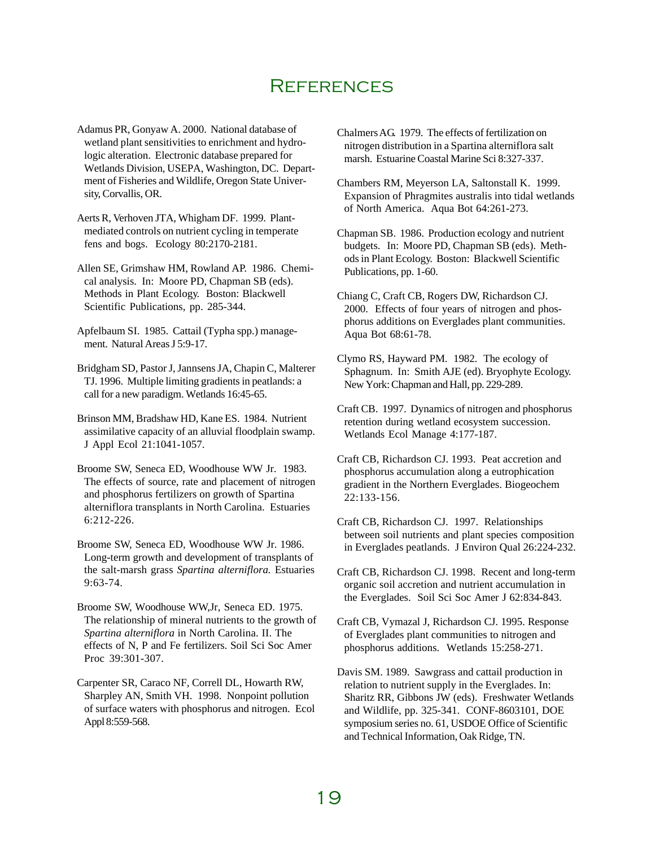# **REFERENCES**

Adamus PR, Gonyaw A. 2000. National database of wetland plant sensitivities to enrichment and hydrologic alteration. Electronic database prepared for Wetlands Division, USEPA, Washington, DC. Department of Fisheries and Wildlife, Oregon State University, Corvallis, OR.

Aerts R, Verhoven JTA, Whigham DF. 1999. Plantmediated controls on nutrient cycling in temperate fens and bogs. Ecology 80:2170-2181.

Allen SE, Grimshaw HM, Rowland AP. 1986. Chemical analysis. In: Moore PD, Chapman SB (eds). Methods in Plant Ecology. Boston: Blackwell Scientific Publications, pp. 285-344.

Apfelbaum SI. 1985. Cattail (Typha spp.) management. Natural Areas J 5:9-17.

Bridgham SD, Pastor J, Jannsens JA, Chapin C, Malterer TJ. 1996. Multiple limiting gradients in peatlands: a call for a new paradigm. Wetlands 16:45-65.

Brinson MM, Bradshaw HD, Kane ES. 1984. Nutrient assimilative capacity of an alluvial floodplain swamp. J Appl Ecol 21:1041-1057.

Broome SW, Seneca ED, Woodhouse WW Jr. 1983. The effects of source, rate and placement of nitrogen and phosphorus fertilizers on growth of Spartina alterniflora transplants in North Carolina. Estuaries 6:212-226.

Broome SW, Seneca ED, Woodhouse WW Jr. 1986. Long-term growth and development of transplants of the salt-marsh grass *Spartina alterniflora.* Estuaries 9:63-74.

Broome SW, Woodhouse WW,Jr, Seneca ED. 1975. The relationship of mineral nutrients to the growth of *Spartina alterniflora* in North Carolina. II. The effects of N, P and Fe fertilizers. Soil Sci Soc Amer Proc 39:301-307.

Carpenter SR, Caraco NF, Correll DL, Howarth RW, Sharpley AN, Smith VH. 1998. Nonpoint pollution of surface waters with phosphorus and nitrogen. Ecol Appl 8:559-568.

Chalmers AG. 1979. The effects of fertilization on nitrogen distribution in a Spartina alterniflora salt marsh. Estuarine Coastal Marine Sci 8:327-337.

Chambers RM, Meyerson LA, Saltonstall K. 1999. Expansion of Phragmites australis into tidal wetlands of North America. Aqua Bot 64:261-273.

Chapman SB. 1986. Production ecology and nutrient budgets. In: Moore PD, Chapman SB (eds). Methods in Plant Ecology. Boston: Blackwell Scientific Publications, pp. 1-60.

Chiang C, Craft CB, Rogers DW, Richardson CJ. 2000. Effects of four years of nitrogen and phosphorus additions on Everglades plant communities. Aqua Bot 68:61-78.

Clymo RS, Hayward PM. 1982. The ecology of Sphagnum. In: Smith AJE (ed). Bryophyte Ecology. New York: Chapman and Hall, pp. 229-289.

Craft CB. 1997. Dynamics of nitrogen and phosphorus retention during wetland ecosystem succession. Wetlands Ecol Manage 4:177-187.

Craft CB, Richardson CJ. 1993. Peat accretion and phosphorus accumulation along a eutrophication gradient in the Northern Everglades. Biogeochem 22:133-156.

Craft CB, Richardson CJ. 1997. Relationships between soil nutrients and plant species composition in Everglades peatlands. J Environ Qual 26:224-232.

Craft CB, Richardson CJ. 1998. Recent and long-term organic soil accretion and nutrient accumulation in the Everglades. Soil Sci Soc Amer J 62:834-843.

Craft CB, Vymazal J, Richardson CJ. 1995. Response of Everglades plant communities to nitrogen and phosphorus additions. Wetlands 15:258-271.

Davis SM. 1989. Sawgrass and cattail production in relation to nutrient supply in the Everglades. In: Sharitz RR, Gibbons JW (eds). Freshwater Wetlands and Wildlife, pp. 325-341. CONF-8603101, DOE symposium series no. 61, USDOE Office of Scientific and Technical Information, Oak Ridge, TN.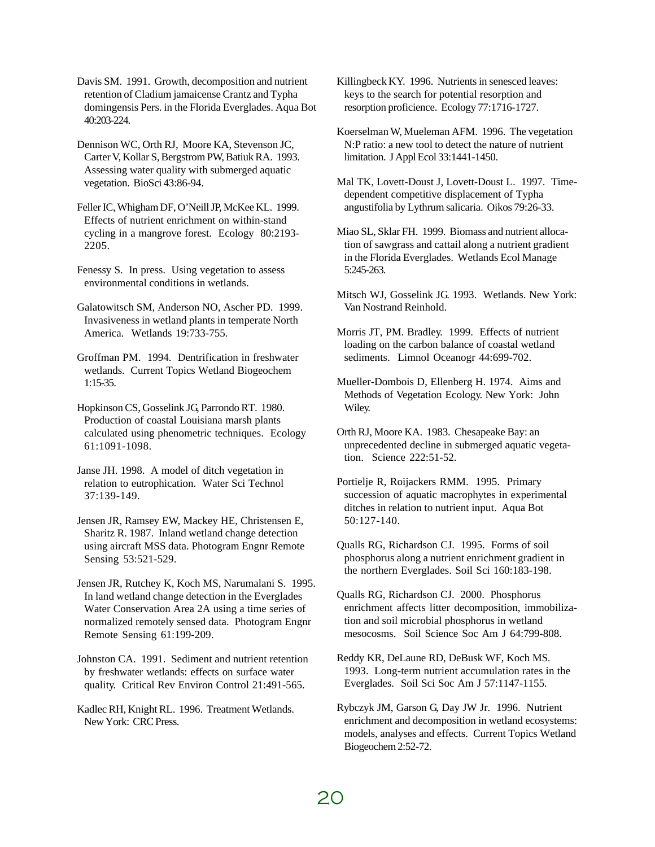Davis SM. 1991. Growth, decomposition and nutrient retention of Cladium jamaicense Crantz and Typha domingensis Pers. in the Florida Everglades. Aqua Bot 40:203-224.

Dennison WC, Orth RJ, Moore KA, Stevenson JC, Carter V, Kollar S, Bergstrom PW, Batiuk RA. 1993. Assessing water quality with submerged aquatic vegetation. BioSci 43:86-94.

Feller IC, Whigham DF, O'Neill JP, McKee KL. 1999. Effects of nutrient enrichment on within-stand cycling in a mangrove forest. Ecology 80:2193- 2205.

Fenessy S. In press. Using vegetation to assess environmental conditions in wetlands.

Galatowitsch SM, Anderson NO, Ascher PD. 1999. Invasiveness in wetland plants in temperate North America. Wetlands 19:733-755.

Groffman PM. 1994. Dentrification in freshwater wetlands. Current Topics Wetland Biogeochem 1:15-35.

Hopkinson CS, Gosselink JG, Parrondo RT. 1980. Production of coastal Louisiana marsh plants calculated using phenometric techniques. Ecology 61:1091-1098.

Janse JH. 1998. A model of ditch vegetation in relation to eutrophication. Water Sci Technol 37:139-149.

Jensen JR, Ramsey EW, Mackey HE, Christensen E, Sharitz R. 1987. Inland wetland change detection using aircraft MSS data. Photogram Engnr Remote Sensing 53:521-529.

Jensen JR, Rutchey K, Koch MS, Narumalani S. 1995. In land wetland change detection in the Everglades Water Conservation Area 2A using a time series of normalized remotely sensed data. Photogram Engnr Remote Sensing 61:199-209.

Johnston CA. 1991. Sediment and nutrient retention by freshwater wetlands: effects on surface water quality. Critical Rev Environ Control 21:491-565.

Kadlec RH, Knight RL. 1996. Treatment Wetlands. New York: CRC Press.

Killingbeck KY. 1996. Nutrients in senesced leaves: keys to the search for potential resorption and resorption proficience. Ecology 77:1716-1727.

Koerselman W, Mueleman AFM. 1996. The vegetation N:P ratio: a new tool to detect the nature of nutrient limitation. J Appl Ecol 33:1441-1450.

Mal TK, Lovett-Doust J, Lovett-Doust L. 1997. Timedependent competitive displacement of Typha angustifolia by Lythrum salicaria. Oikos 79:26-33.

Miao SL, Sklar FH. 1999. Biomass and nutrient allocation of sawgrass and cattail along a nutrient gradient in the Florida Everglades. Wetlands Ecol Manage 5:245-263.

Mitsch WJ, Gosselink JG. 1993. Wetlands. New York: Van Nostrand Reinhold.

Morris JT, PM. Bradley. 1999. Effects of nutrient loading on the carbon balance of coastal wetland sediments. Limnol Oceanogr 44:699-702.

Mueller-Dombois D, Ellenberg H. 1974. Aims and Methods of Vegetation Ecology. New York: John Wiley.

Orth RJ, Moore KA. 1983. Chesapeake Bay: an unprecedented decline in submerged aquatic vegetation. Science 222:51-52.

Portielje R, Roijackers RMM. 1995. Primary succession of aquatic macrophytes in experimental ditches in relation to nutrient input. Aqua Bot 50:127-140.

Qualls RG, Richardson CJ. 1995. Forms of soil phosphorus along a nutrient enrichment gradient in the northern Everglades. Soil Sci 160:183-198.

Qualls RG, Richardson CJ. 2000. Phosphorus enrichment affects litter decomposition, immobilization and soil microbial phosphorus in wetland mesocosms. Soil Science Soc Am J 64:799-808.

Reddy KR, DeLaune RD, DeBusk WF, Koch MS. 1993. Long-term nutrient accumulation rates in the Everglades. Soil Sci Soc Am J 57:1147-1155.

Rybczyk JM, Garson G, Day JW Jr. 1996. Nutrient enrichment and decomposition in wetland ecosystems: models, analyses and effects. Current Topics Wetland Biogeochem 2:52-72.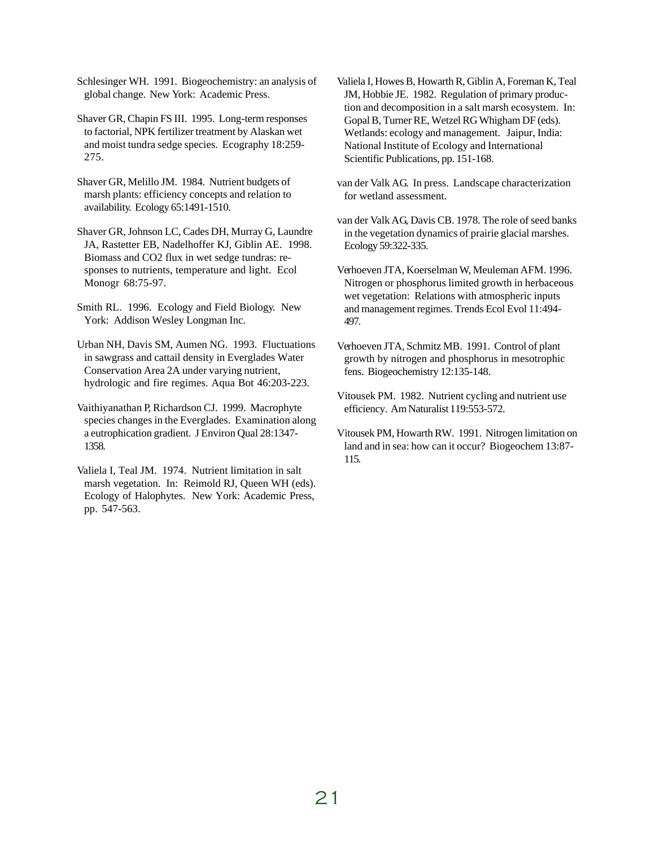Schlesinger WH. 1991. Biogeochemistry: an analysis of global change. New York: Academic Press.

Shaver GR, Chapin FS III. 1995. Long-term responses to factorial, NPK fertilizer treatment by Alaskan wet and moist tundra sedge species. Ecography 18:259- 275.

Shaver GR, Melillo JM. 1984. Nutrient budgets of marsh plants: efficiency concepts and relation to availability. Ecology 65:1491-1510.

Shaver GR, Johnson LC, Cades DH, Murray G, Laundre JA, Rastetter EB, Nadelhoffer KJ, Giblin AE. 1998. Biomass and CO2 flux in wet sedge tundras: responses to nutrients, temperature and light. Ecol Monogr 68:75-97.

Smith RL. 1996. Ecology and Field Biology. New York: Addison Wesley Longman Inc.

Urban NH, Davis SM, Aumen NG. 1993. Fluctuations in sawgrass and cattail density in Everglades Water Conservation Area 2A under varying nutrient, hydrologic and fire regimes. Aqua Bot 46:203-223.

Vaithiyanathan P, Richardson CJ. 1999. Macrophyte species changes in the Everglades. Examination along a eutrophication gradient. J Environ Qual 28:1347- 1358.

Valiela I, Teal JM. 1974. Nutrient limitation in salt marsh vegetation. In: Reimold RJ, Queen WH (eds). Ecology of Halophytes. New York: Academic Press, pp. 547-563.

Valiela I, Howes B, Howarth R, Giblin A, Foreman K, Teal JM, Hobbie JE. 1982. Regulation of primary production and decomposition in a salt marsh ecosystem. In: Gopal B, Turner RE, Wetzel RG Whigham DF (eds). Wetlands: ecology and management. Jaipur, India: National Institute of Ecology and International Scientific Publications, pp. 151-168.

van der Valk AG. In press. Landscape characterization for wetland assessment.

van der Valk AG, Davis CB. 1978. The role of seed banks in the vegetation dynamics of prairie glacial marshes. Ecology 59:322-335.

Verhoeven JTA, Koerselman W, Meuleman AFM. 1996. Nitrogen or phosphorus limited growth in herbaceous wet vegetation: Relations with atmospheric inputs and management regimes. Trends Ecol Evol 11:494- 497.

Verhoeven JTA, Schmitz MB. 1991. Control of plant growth by nitrogen and phosphorus in mesotrophic fens. Biogeochemistry 12:135-148.

Vitousek PM. 1982. Nutrient cycling and nutrient use efficiency. Am Naturalist 119:553-572.

Vitousek PM, Howarth RW. 1991. Nitrogen limitation on land and in sea: how can it occur? Biogeochem 13:87- 115.